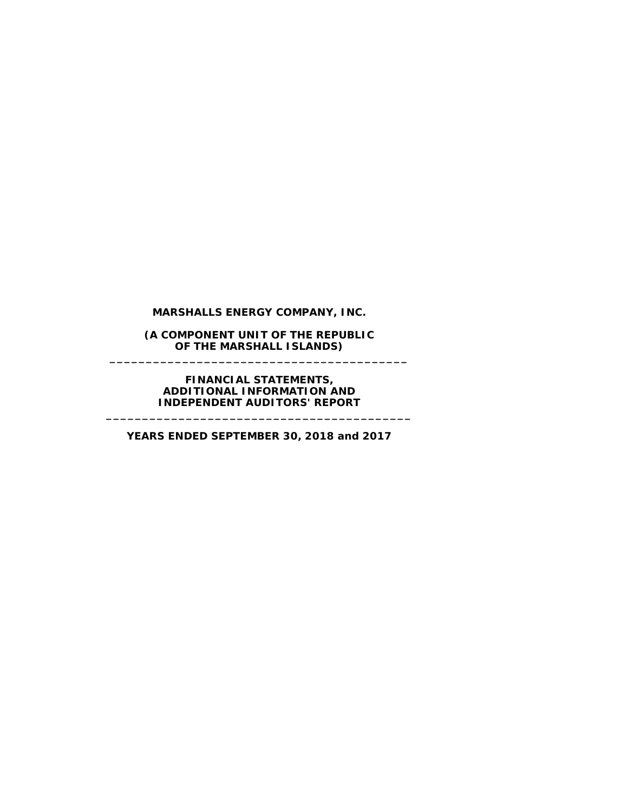**MARSHALLS ENERGY COMPANY, INC.**

**(A COMPONENT UNIT OF THE REPUBLIC OF THE MARSHALL ISLANDS) \_\_\_\_\_\_\_\_\_\_\_\_\_\_\_\_\_\_\_\_\_\_\_\_\_\_\_\_\_\_\_\_\_\_\_\_\_\_\_\_\_**

#### **FINANCIAL STATEMENTS, ADDITIONAL INFORMATION AND INDEPENDENT AUDITORS' REPORT**

**\_\_\_\_\_\_\_\_\_\_\_\_\_\_\_\_\_\_\_\_\_\_\_\_\_\_\_\_\_\_\_\_\_\_\_\_\_\_\_\_\_\_**

**YEARS ENDED SEPTEMBER 30, 2018 and 2017**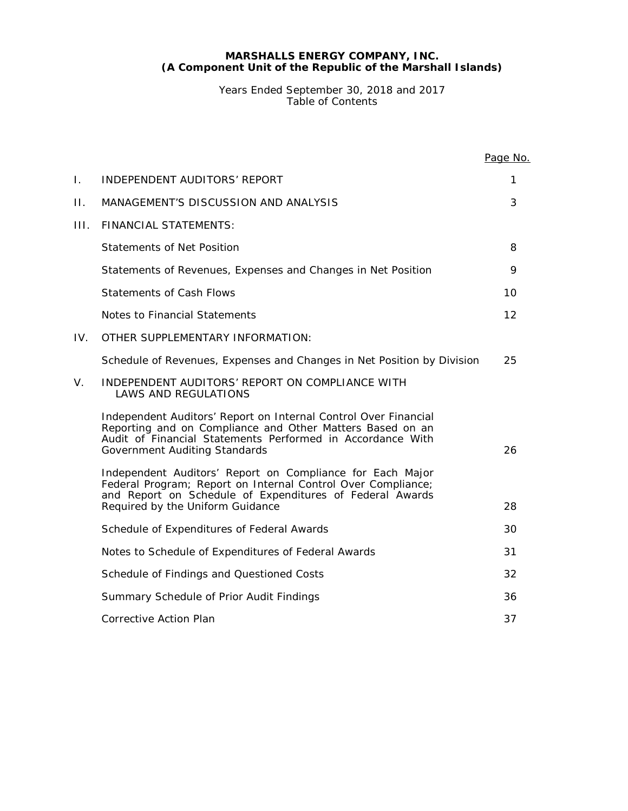Years Ended September 30, 2018 and 2017 Table of Contents

|      |                                                                                                                                                                                                                                    | Page No. |
|------|------------------------------------------------------------------------------------------------------------------------------------------------------------------------------------------------------------------------------------|----------|
| I.   | INDEPENDENT AUDITORS' REPORT                                                                                                                                                                                                       | 1        |
| П.   | MANAGEMENT'S DISCUSSION AND ANALYSIS                                                                                                                                                                                               | 3        |
| III. | <b>FINANCIAL STATEMENTS:</b>                                                                                                                                                                                                       |          |
|      | <b>Statements of Net Position</b>                                                                                                                                                                                                  | 8        |
|      | Statements of Revenues, Expenses and Changes in Net Position                                                                                                                                                                       | 9        |
|      | <b>Statements of Cash Flows</b>                                                                                                                                                                                                    | 10       |
|      | Notes to Financial Statements                                                                                                                                                                                                      | 12       |
| IV.  | OTHER SUPPLEMENTARY INFORMATION:                                                                                                                                                                                                   |          |
|      | Schedule of Revenues, Expenses and Changes in Net Position by Division                                                                                                                                                             | 25       |
| V.   | INDEPENDENT AUDITORS' REPORT ON COMPLIANCE WITH<br><b>LAWS AND REGULATIONS</b>                                                                                                                                                     |          |
|      | Independent Auditors' Report on Internal Control Over Financial<br>Reporting and on Compliance and Other Matters Based on an<br>Audit of Financial Statements Performed in Accordance With<br><b>Government Auditing Standards</b> | 26       |
|      | Independent Auditors' Report on Compliance for Each Major<br>Federal Program; Report on Internal Control Over Compliance;<br>and Report on Schedule of Expenditures of Federal Awards<br>Required by the Uniform Guidance          | 28       |
|      | Schedule of Expenditures of Federal Awards                                                                                                                                                                                         | 30       |
|      | Notes to Schedule of Expenditures of Federal Awards                                                                                                                                                                                | 31       |
|      | Schedule of Findings and Questioned Costs                                                                                                                                                                                          | 32       |
|      | Summary Schedule of Prior Audit Findings                                                                                                                                                                                           | 36       |
|      | <b>Corrective Action Plan</b>                                                                                                                                                                                                      | 37       |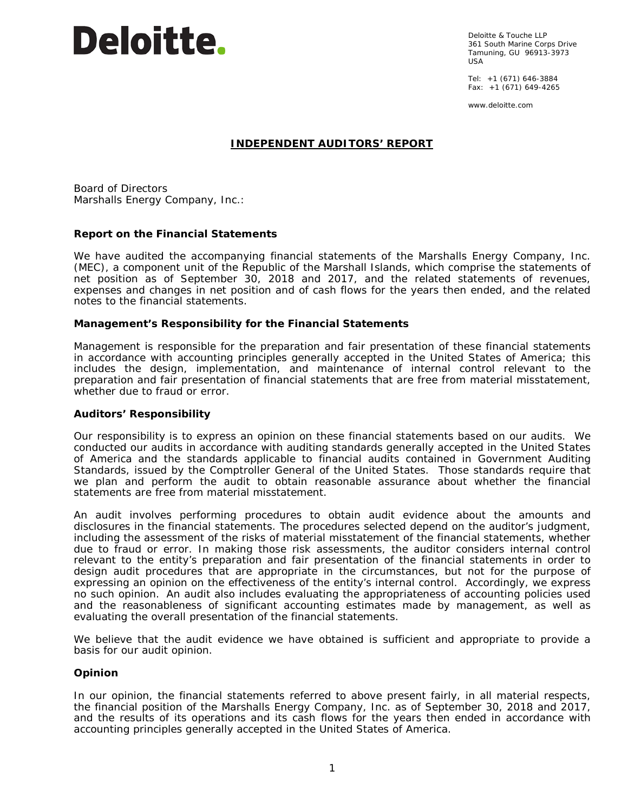# **Deloitte.**

Deloitte & Touche LLP 361 South Marine Corps Drive Tamuning, GU 96913-3973 USA

Tel: +1 (671) 646-3884 Fax:  $+1$  (671) 649-4265

www.deloitte.com

# **INDEPENDENT AUDITORS' REPORT**

Board of Directors Marshalls Energy Company, Inc.:

# **Report on the Financial Statements**

We have audited the accompanying financial statements of the Marshalls Energy Company, Inc. (MEC), a component unit of the Republic of the Marshall Islands, which comprise the statements of net position as of September 30, 2018 and 2017, and the related statements of revenues, expenses and changes in net position and of cash flows for the years then ended, and the related notes to the financial statements.

#### *Management's Responsibility for the Financial Statements*

Management is responsible for the preparation and fair presentation of these financial statements in accordance with accounting principles generally accepted in the United States of America; this includes the design, implementation, and maintenance of internal control relevant to the preparation and fair presentation of financial statements that are free from material misstatement, whether due to fraud or error.

#### *Auditors' Responsibility*

Our responsibility is to express an opinion on these financial statements based on our audits. We conducted our audits in accordance with auditing standards generally accepted in the United States of America and the standards applicable to financial audits contained in *Government Auditing Standards,* issued by the Comptroller General of the United States. Those standards require that we plan and perform the audit to obtain reasonable assurance about whether the financial statements are free from material misstatement.

An audit involves performing procedures to obtain audit evidence about the amounts and disclosures in the financial statements. The procedures selected depend on the auditor's judgment, including the assessment of the risks of material misstatement of the financial statements, whether due to fraud or error. In making those risk assessments, the auditor considers internal control relevant to the entity's preparation and fair presentation of the financial statements in order to design audit procedures that are appropriate in the circumstances, but not for the purpose of expressing an opinion on the effectiveness of the entity's internal control. Accordingly, we express no such opinion. An audit also includes evaluating the appropriateness of accounting policies used and the reasonableness of significant accounting estimates made by management, as well as evaluating the overall presentation of the financial statements.

We believe that the audit evidence we have obtained is sufficient and appropriate to provide a basis for our audit opinion.

# *Opinion*

In our opinion, the financial statements referred to above present fairly, in all material respects, the financial position of the Marshalls Energy Company, Inc. as of September 30, 2018 and 2017, and the results of its operations and its cash flows for the years then ended in accordance with accounting principles generally accepted in the United States of America.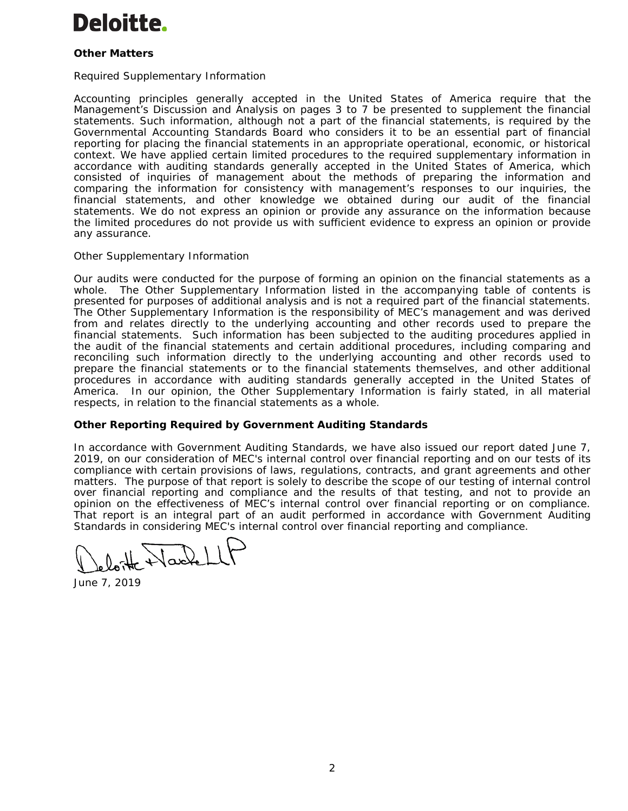# **Deloitte.**

# *Other Matters*

### *Required Supplementary Information*

Accounting principles generally accepted in the United States of America require that the Management's Discussion and Analysis on pages 3 to 7 be presented to supplement the financial statements. Such information, although not a part of the financial statements, is required by the Governmental Accounting Standards Board who considers it to be an essential part of financial reporting for placing the financial statements in an appropriate operational, economic, or historical context. We have applied certain limited procedures to the required supplementary information in accordance with auditing standards generally accepted in the United States of America, which consisted of inquiries of management about the methods of preparing the information and comparing the information for consistency with management's responses to our inquiries, the financial statements, and other knowledge we obtained during our audit of the financial statements. We do not express an opinion or provide any assurance on the information because the limited procedures do not provide us with sufficient evidence to express an opinion or provide any assurance.

#### *Other Supplementary Information*

Our audits were conducted for the purpose of forming an opinion on the financial statements as a whole. The Other Supplementary Information listed in the accompanying table of contents is presented for purposes of additional analysis and is not a required part of the financial statements. The Other Supplementary Information is the responsibility of MEC's management and was derived from and relates directly to the underlying accounting and other records used to prepare the financial statements. Such information has been subjected to the auditing procedures applied in the audit of the financial statements and certain additional procedures, including comparing and reconciling such information directly to the underlying accounting and other records used to prepare the financial statements or to the financial statements themselves, and other additional procedures in accordance with auditing standards generally accepted in the United States of America. In our opinion, the Other Supplementary Information is fairly stated, in all material respects, in relation to the financial statements as a whole.

# **Other Reporting Required by** *Government Auditing Standards*

In accordance with *Government Auditing Standards*, we have also issued our report dated June 7, 2019, on our consideration of MEC's internal control over financial reporting and on our tests of its compliance with certain provisions of laws, regulations, contracts, and grant agreements and other matters. The purpose of that report is solely to describe the scope of our testing of internal control over financial reporting and compliance and the results of that testing, and not to provide an opinion on the effectiveness of MEC's internal control over financial reporting or on compliance. That report is an integral part of an audit performed in accordance with *Government Auditing Standards* in considering MEC's internal control over financial reporting and compliance.

June 7, 2019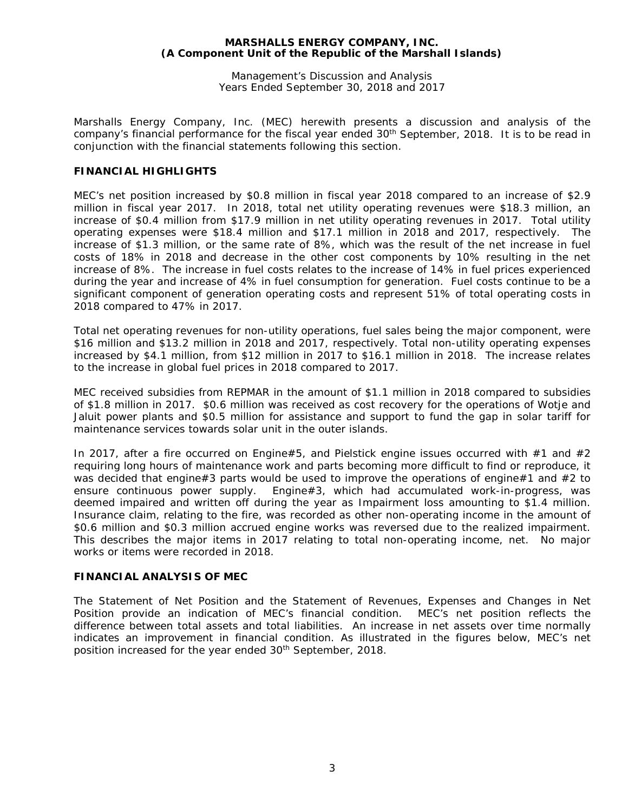Management's Discussion and Analysis Years Ended September 30, 2018 and 2017

Marshalls Energy Company, Inc. (MEC) herewith presents a discussion and analysis of the company's financial performance for the fiscal year ended 30<sup>th</sup> September, 2018. It is to be read in conjunction with the financial statements following this section.

# **FINANCIAL HIGHLIGHTS**

MEC's net position increased by \$0.8 million in fiscal year 2018 compared to an increase of \$2.9 million in fiscal year 2017. In 2018, total net utility operating revenues were \$18.3 million, an increase of \$0.4 million from \$17.9 million in net utility operating revenues in 2017. Total utility operating expenses were \$18.4 million and \$17.1 million in 2018 and 2017, respectively. The increase of \$1.3 million, or the same rate of 8%, which was the result of the net increase in fuel costs of 18% in 2018 and decrease in the other cost components by 10% resulting in the net increase of 8%. The increase in fuel costs relates to the increase of 14% in fuel prices experienced during the year and increase of 4% in fuel consumption for generation. Fuel costs continue to be a significant component of generation operating costs and represent 51% of total operating costs in 2018 compared to 47% in 2017.

Total net operating revenues for non-utility operations, fuel sales being the major component, were \$16 million and \$13.2 million in 2018 and 2017, respectively. Total non-utility operating expenses increased by \$4.1 million, from \$12 million in 2017 to \$16.1 million in 2018. The increase relates to the increase in global fuel prices in 2018 compared to 2017.

MEC received subsidies from REPMAR in the amount of \$1.1 million in 2018 compared to subsidies of \$1.8 million in 2017. \$0.6 million was received as cost recovery for the operations of Wotje and Jaluit power plants and \$0.5 million for assistance and support to fund the gap in solar tariff for maintenance services towards solar unit in the outer islands.

In 2017, after a fire occurred on Engine#5, and Pielstick engine issues occurred with #1 and #2 requiring long hours of maintenance work and parts becoming more difficult to find or reproduce, it was decided that engine#3 parts would be used to improve the operations of engine#1 and #2 to ensure continuous power supply. Engine#3, which had accumulated work-in-progress, was deemed impaired and written off during the year as Impairment loss amounting to \$1.4 million. Insurance claim, relating to the fire, was recorded as other non-operating income in the amount of \$0.6 million and \$0.3 million accrued engine works was reversed due to the realized impairment. This describes the major items in 2017 relating to total non-operating income, net. No major works or items were recorded in 2018.

#### **FINANCIAL ANALYSIS OF MEC**

The Statement of Net Position and the Statement of Revenues, Expenses and Changes in Net Position provide an indication of MEC's financial condition. MEC's net position reflects the difference between total assets and total liabilities. An increase in net assets over time normally indicates an improvement in financial condition. As illustrated in the figures below, MEC's net position increased for the year ended 30<sup>th</sup> September, 2018.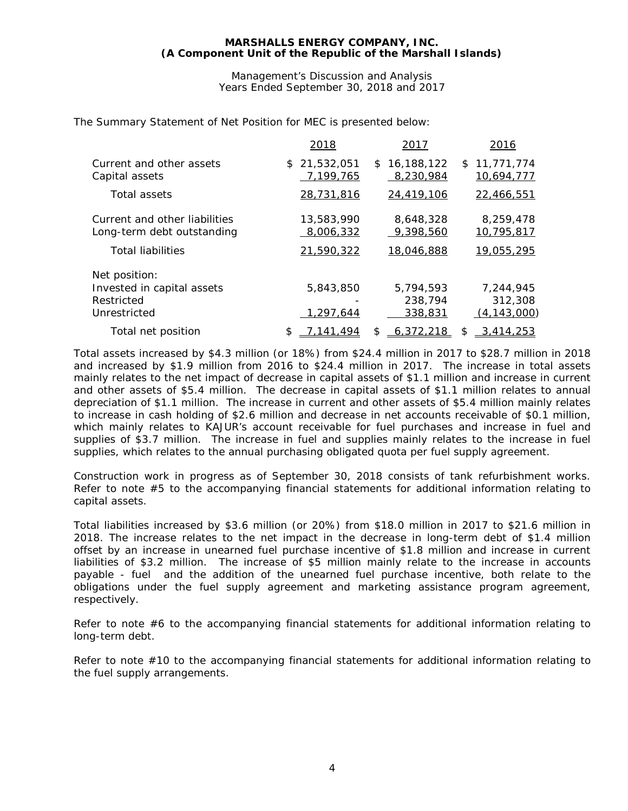Management's Discussion and Analysis Years Ended September 30, 2018 and 2017

The Summary Statement of Net Position for MEC is presented below:

|                                                             | 2018                      | 2017                          | 2016                           |
|-------------------------------------------------------------|---------------------------|-------------------------------|--------------------------------|
| Current and other assets<br>Capital assets                  | \$21,532,051<br>7,199,765 | 16,188,122<br>\$<br>8,230,984 | 11,771,774<br>\$<br>10,694,777 |
| Total assets                                                | 28,731,816                | 24,419,106                    | 22,466,551                     |
| Current and other liabilities<br>Long-term debt outstanding | 13,583,990<br>8,006,332   | 8,648,328<br>9.398.560        | 8,259,478<br>10,795,817        |
| <b>Total liabilities</b>                                    | 21,590,322                | 18,046,888                    | 19,055,295                     |
| Net position:                                               |                           |                               |                                |
| Invested in capital assets                                  | 5,843,850                 | 5,794,593                     | 7,244,945                      |
| Restricted                                                  |                           | 238,794                       | 312,308                        |
| Unrestricted                                                | 1,297,644                 | 338,831                       | (4, 143, 000)                  |
| Total net position                                          | 7,141,494<br>S            | 6,372,218<br>\$               | 3,414,253<br>\$                |

Total assets increased by \$4.3 million (or 18%) from \$24.4 million in 2017 to \$28.7 million in 2018 and increased by \$1.9 million from 2016 to \$24.4 million in 2017. The increase in total assets mainly relates to the net impact of decrease in capital assets of \$1.1 million and increase in current and other assets of \$5.4 million. The decrease in capital assets of \$1.1 million relates to annual depreciation of \$1.1 million. The increase in current and other assets of \$5.4 million mainly relates to increase in cash holding of \$2.6 million and decrease in net accounts receivable of \$0.1 million, which mainly relates to KAJUR's account receivable for fuel purchases and increase in fuel and supplies of \$3.7 million. The increase in fuel and supplies mainly relates to the increase in fuel supplies, which relates to the annual purchasing obligated quota per fuel supply agreement.

Construction work in progress as of September 30, 2018 consists of tank refurbishment works. Refer to note #5 to the accompanying financial statements for additional information relating to capital assets.

Total liabilities increased by \$3.6 million (or 20%) from \$18.0 million in 2017 to \$21.6 million in 2018. The increase relates to the net impact in the decrease in long-term debt of \$1.4 million offset by an increase in unearned fuel purchase incentive of \$1.8 million and increase in current liabilities of \$3.2 million. The increase of \$5 million mainly relate to the increase in accounts payable - fuel and the addition of the unearned fuel purchase incentive, both relate to the obligations under the fuel supply agreement and marketing assistance program agreement, respectively.

Refer to note #6 to the accompanying financial statements for additional information relating to long-term debt.

Refer to note #10 to the accompanying financial statements for additional information relating to the fuel supply arrangements.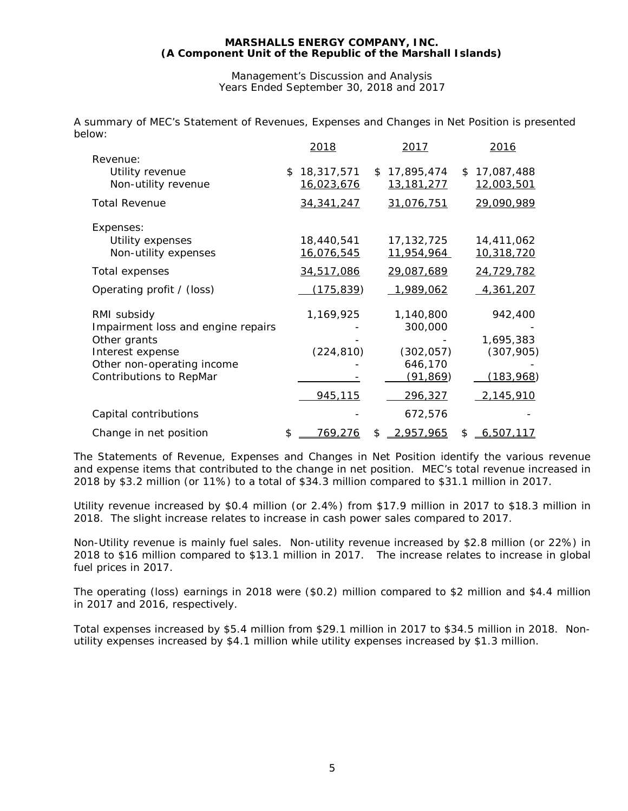Management's Discussion and Analysis Years Ended September 30, 2018 and 2017

A summary of MEC's Statement of Revenues, Expenses and Changes in Net Position is presented below:

|                                                                | 2018                                  | 2017                              | 2016                           |
|----------------------------------------------------------------|---------------------------------------|-----------------------------------|--------------------------------|
| Revenue:<br>Utility revenue<br>Non-utility revenue             | \$<br>18,317,571<br><u>16,023,676</u> | \$17,895,474<br><u>13,181,277</u> | \$<br>17,087,488<br>12,003,501 |
| <b>Total Revenue</b>                                           | 34, 341, 247                          | 31,076,751                        | 29,090,989                     |
| Expenses:<br>Utility expenses<br>Non-utility expenses          | 18,440,541<br><u>16,076,545</u>       | 17, 132, 725<br><u>11,954,964</u> | 14,411,062<br>10,318,720       |
| Total expenses                                                 | 34,517,086                            | 29,087,689                        | 24,729,782                     |
| Operating profit / (loss)                                      | (175, 839)                            | 1,989,062                         | 4,361,207                      |
| RMI subsidy<br>Impairment loss and engine repairs              | 1,169,925                             | 1,140,800<br>300,000              | 942,400                        |
| Other grants<br>Interest expense<br>Other non-operating income | (224, 810)                            | (302, 057)<br>646,170             | 1,695,383<br>(307, 905)        |
| Contributions to RepMar                                        |                                       | (91, 869)                         | <u>(183,968</u> )              |
|                                                                | 945,115                               | 296,327                           | 2,145,910                      |
| Capital contributions                                          |                                       | 672,576                           |                                |
| Change in net position                                         | \$<br>769,276                         | \$<br>2,957,965                   | \$<br>6,507,117                |

The Statements of Revenue, Expenses and Changes in Net Position identify the various revenue and expense items that contributed to the change in net position. MEC's total revenue increased in 2018 by \$3.2 million (or 11%) to a total of \$34.3 million compared to \$31.1 million in 2017.

Utility revenue increased by \$0.4 million (or 2.4%) from \$17.9 million in 2017 to \$18.3 million in 2018. The slight increase relates to increase in cash power sales compared to 2017.

Non-Utility revenue is mainly fuel sales. Non-utility revenue increased by \$2.8 million (or 22%) in 2018 to \$16 million compared to \$13.1 million in 2017. The increase relates to increase in global fuel prices in 2017.

The operating (loss) earnings in 2018 were (\$0.2) million compared to \$2 million and \$4.4 million in 2017 and 2016, respectively.

Total expenses increased by \$5.4 million from \$29.1 million in 2017 to \$34.5 million in 2018. Nonutility expenses increased by \$4.1 million while utility expenses increased by \$1.3 million.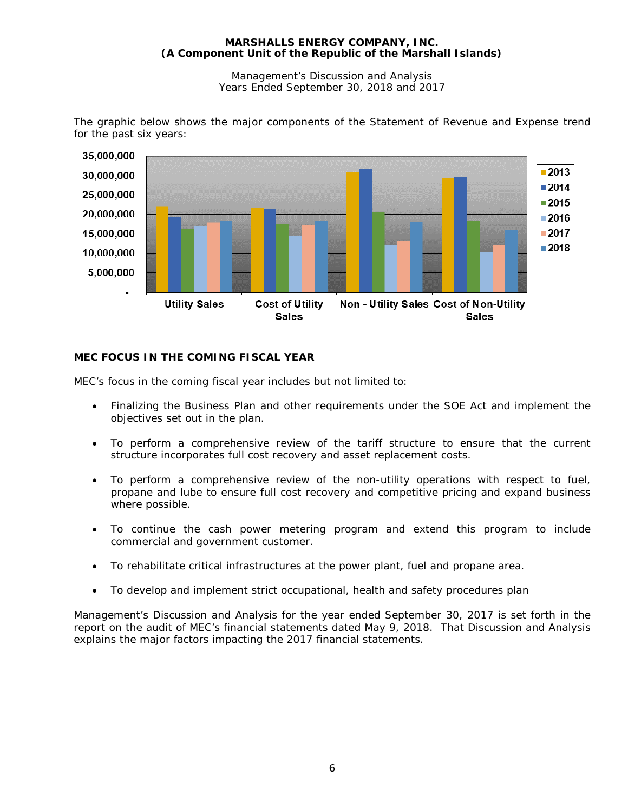Management's Discussion and Analysis Years Ended September 30, 2018 and 2017



The graphic below shows the major components of the Statement of Revenue and Expense trend for the past six years:

# **MEC FOCUS IN THE COMING FISCAL YEAR**

MEC's focus in the coming fiscal year includes but not limited to:

- Finalizing the Business Plan and other requirements under the SOE Act and implement the objectives set out in the plan.
- To perform a comprehensive review of the tariff structure to ensure that the current structure incorporates full cost recovery and asset replacement costs.
- To perform a comprehensive review of the non-utility operations with respect to fuel, propane and lube to ensure full cost recovery and competitive pricing and expand business where possible.
- To continue the cash power metering program and extend this program to include commercial and government customer.
- To rehabilitate critical infrastructures at the power plant, fuel and propane area.
- To develop and implement strict occupational, health and safety procedures plan

Management's Discussion and Analysis for the year ended September 30, 2017 is set forth in the report on the audit of MEC's financial statements dated May 9, 2018. That Discussion and Analysis explains the major factors impacting the 2017 financial statements.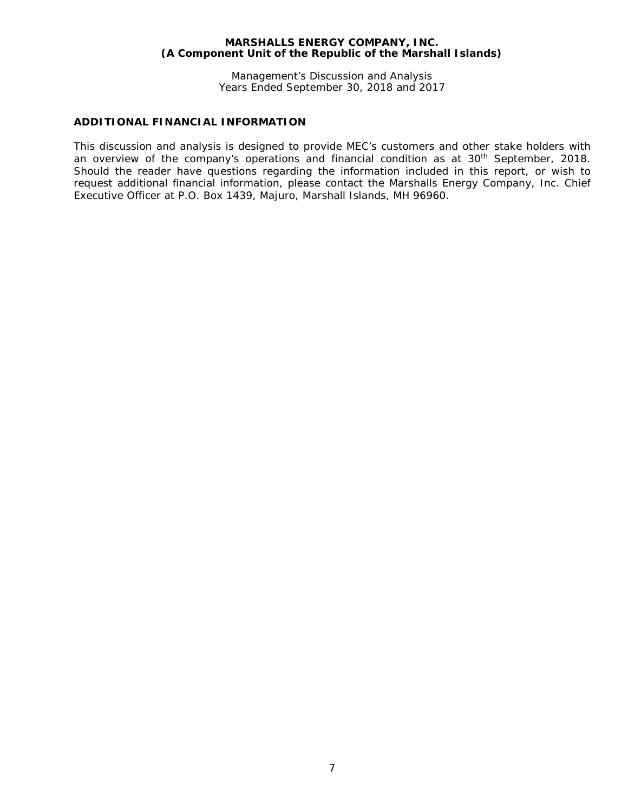Management's Discussion and Analysis Years Ended September 30, 2018 and 2017

# **ADDITIONAL FINANCIAL INFORMATION**

This discussion and analysis is designed to provide MEC's customers and other stake holders with an overview of the company's operations and financial condition as at 30<sup>th</sup> September, 2018. Should the reader have questions regarding the information included in this report, or wish to request additional financial information, please contact the Marshalls Energy Company, Inc. Chief Executive Officer at P.O. Box 1439, Majuro, Marshall Islands, MH 96960.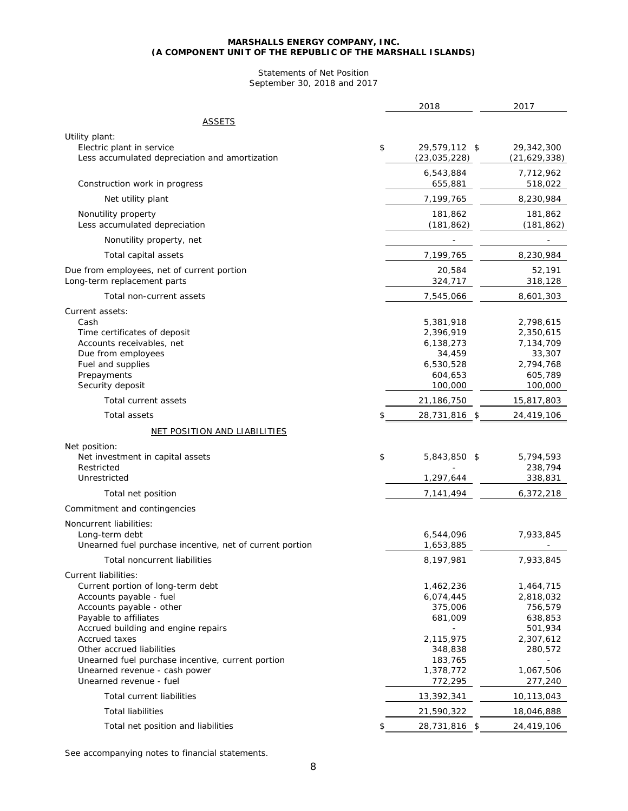#### Statements of Net Position September 30, 2018 and 2017

|                                                                                                                                                                                                   | 2018                                                                             | 2017                                                                             |
|---------------------------------------------------------------------------------------------------------------------------------------------------------------------------------------------------|----------------------------------------------------------------------------------|----------------------------------------------------------------------------------|
| <u>ASSETS</u>                                                                                                                                                                                     |                                                                                  |                                                                                  |
| Utility plant:<br>Electric plant in service<br>Less accumulated depreciation and amortization                                                                                                     | \$<br>29,579,112 \$<br>(23, 035, 228)                                            | 29,342,300<br>(21, 629, 338)                                                     |
| Construction work in progress                                                                                                                                                                     | 6,543,884<br>655,881                                                             | 7,712,962<br>518,022                                                             |
| Net utility plant                                                                                                                                                                                 | 7,199,765                                                                        | 8,230,984                                                                        |
| Nonutility property<br>Less accumulated depreciation                                                                                                                                              | 181,862<br>(181, 862)                                                            | 181,862<br>(181, 862)                                                            |
| Nonutility property, net                                                                                                                                                                          |                                                                                  |                                                                                  |
| Total capital assets                                                                                                                                                                              | 7,199,765                                                                        | 8,230,984                                                                        |
| Due from employees, net of current portion<br>Long-term replacement parts                                                                                                                         | 20,584<br>324,717                                                                | 52,191<br>318,128                                                                |
| Total non-current assets                                                                                                                                                                          | 7,545,066                                                                        | 8,601,303                                                                        |
| Current assets:<br>Cash<br>Time certificates of deposit<br>Accounts receivables, net<br>Due from employees<br>Fuel and supplies<br>Prepayments<br>Security deposit                                | 5,381,918<br>2,396,919<br>6,138,273<br>34,459<br>6,530,528<br>604,653<br>100,000 | 2,798,615<br>2,350,615<br>7,134,709<br>33,307<br>2,794,768<br>605,789<br>100,000 |
| Total current assets                                                                                                                                                                              | 21,186,750                                                                       | 15,817,803                                                                       |
| <b>Total assets</b>                                                                                                                                                                               | 28,731,816 \$                                                                    | 24,419,106                                                                       |
| NET POSITION AND LIABILITIES                                                                                                                                                                      |                                                                                  |                                                                                  |
| Net position:<br>Net investment in capital assets<br>Restricted<br>Unrestricted                                                                                                                   | \$<br>5,843,850 \$<br>1,297,644                                                  | 5,794,593<br>238,794<br>338,831                                                  |
| Total net position                                                                                                                                                                                | 7,141,494                                                                        | 6,372,218                                                                        |
| Commitment and contingencies                                                                                                                                                                      |                                                                                  |                                                                                  |
| Noncurrent liabilities:<br>Long-term debt<br>Unearned fuel purchase incentive, net of current portion                                                                                             | 6,544,096<br>1,653,885                                                           | 7,933,845                                                                        |
| Total noncurrent liabilities                                                                                                                                                                      | 8,197,981                                                                        | 7,933,845                                                                        |
| Current liabilities:<br>Current portion of long-term debt<br>Accounts payable - fuel<br>Accounts payable - other<br>Payable to affiliates<br>Accrued building and engine repairs<br>Accrued taxes | 1,462,236<br>6,074,445<br>375,006<br>681,009<br>2,115,975                        | 1,464,715<br>2,818,032<br>756,579<br>638,853<br>501,934<br>2,307,612             |
| Other accrued liabilities                                                                                                                                                                         | 348,838                                                                          | 280,572                                                                          |
| Unearned fuel purchase incentive, current portion<br>Unearned revenue - cash power<br>Unearned revenue - fuel                                                                                     | 183,765<br>1,378,772<br>772,295                                                  | 1,067,506<br>277,240                                                             |
| Total current liabilities                                                                                                                                                                         | 13,392,341                                                                       | 10,113,043                                                                       |
| <b>Total liabilities</b>                                                                                                                                                                          | 21,590,322                                                                       | 18,046,888                                                                       |
| Total net position and liabilities                                                                                                                                                                | \$<br>28,731,816 \$                                                              | 24,419,106                                                                       |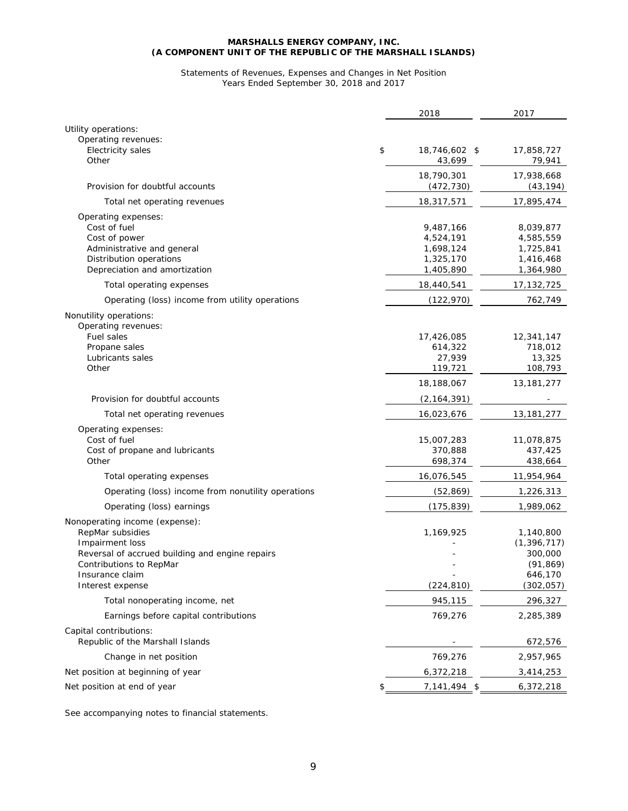#### Statements of Revenues, Expenses and Changes in Net Position Years Ended September 30, 2018 and 2017

|                                                            | 2018                          | 2017                       |
|------------------------------------------------------------|-------------------------------|----------------------------|
| Utility operations:                                        |                               |                            |
| Operating revenues:                                        |                               |                            |
| <b>Electricity sales</b><br>Other                          | \$<br>18,746,602 \$<br>43,699 | 17,858,727<br>79,941       |
|                                                            | 18,790,301                    | 17,938,668                 |
| Provision for doubtful accounts                            | (472, 730)                    | (43, 194)                  |
| Total net operating revenues                               | 18,317,571                    | 17,895,474                 |
| Operating expenses:                                        |                               |                            |
| Cost of fuel                                               | 9,487,166                     | 8,039,877                  |
| Cost of power                                              | 4,524,191                     | 4,585,559                  |
| Administrative and general                                 | 1,698,124                     | 1,725,841                  |
| Distribution operations<br>Depreciation and amortization   | 1,325,170<br>1,405,890        | 1,416,468<br>1,364,980     |
| Total operating expenses                                   | 18,440,541                    | 17, 132, 725               |
| Operating (loss) income from utility operations            | (122, 970)                    | 762,749                    |
| Nonutility operations:                                     |                               |                            |
| Operating revenues:                                        |                               |                            |
| Fuel sales                                                 | 17,426,085                    | 12,341,147                 |
| Propane sales<br>Lubricants sales                          | 614,322                       | 718,012                    |
| Other                                                      | 27,939<br>119,721             | 13,325<br>108,793          |
|                                                            | 18,188,067                    | 13, 181, 277               |
| Provision for doubtful accounts                            | (2, 164, 391)                 |                            |
| Total net operating revenues                               | 16,023,676                    | 13, 181, 277               |
| Operating expenses:                                        |                               |                            |
| Cost of fuel                                               | 15,007,283                    | 11,078,875                 |
| Cost of propane and lubricants                             | 370,888                       | 437,425                    |
| Other                                                      | 698,374                       | 438,664                    |
| Total operating expenses                                   | 16,076,545                    | 11,954,964                 |
| Operating (loss) income from nonutility operations         | (52, 869)                     | 1,226,313                  |
| Operating (loss) earnings                                  | (175, 839)                    | 1,989,062                  |
| Nonoperating income (expense):                             |                               |                            |
| RepMar subsidies<br>Impairment loss                        | 1,169,925                     | 1,140,800<br>(1, 396, 717) |
| Reversal of accrued building and engine repairs            |                               | 300,000                    |
| Contributions to RepMar                                    |                               | (91, 869)                  |
| Insurance claim                                            |                               | 646,170                    |
| Interest expense                                           | (224, 810)                    | (302, 057)                 |
| Total nonoperating income, net                             | 945,115                       | 296,327                    |
| Earnings before capital contributions                      | 769,276                       | 2,285,389                  |
| Capital contributions:<br>Republic of the Marshall Islands |                               | 672,576                    |
| Change in net position                                     | 769,276                       | 2,957,965                  |
| Net position at beginning of year                          | 6,372,218                     | 3,414,253                  |
| Net position at end of year                                | \$<br>$7,141,494$ \$          | 6,372,218                  |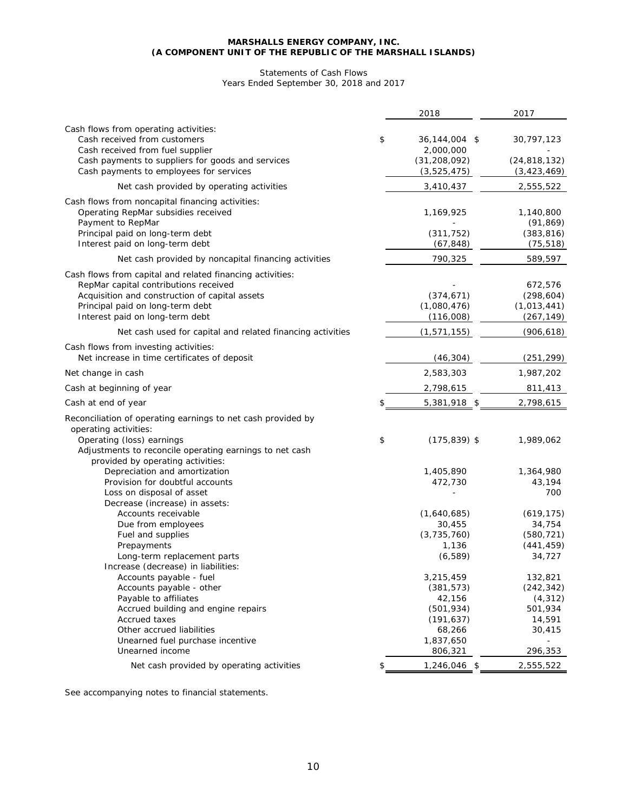#### Statements of Cash Flows Years Ended September 30, 2018 and 2017

|                                                                                                                                                                                                                             | 2018                                   | 2017                                               |
|-----------------------------------------------------------------------------------------------------------------------------------------------------------------------------------------------------------------------------|----------------------------------------|----------------------------------------------------|
| Cash flows from operating activities:<br>Cash received from customers                                                                                                                                                       | \$<br>36,144,004 \$                    | 30,797,123                                         |
| Cash received from fuel supplier<br>Cash payments to suppliers for goods and services                                                                                                                                       | 2,000,000<br>(31, 208, 092)            | (24, 818, 132)                                     |
| Cash payments to employees for services                                                                                                                                                                                     | (3,525,475)                            | (3, 423, 469)                                      |
| Net cash provided by operating activities                                                                                                                                                                                   | 3,410,437                              | 2,555,522                                          |
| Cash flows from noncapital financing activities:<br>Operating RepMar subsidies received<br>Payment to RepMar                                                                                                                | 1,169,925                              | 1,140,800<br>(91, 869)                             |
| Principal paid on long-term debt<br>Interest paid on long-term debt                                                                                                                                                         | (311, 752)<br>(67, 848)                | (383, 816)<br>(75, 518)                            |
| Net cash provided by noncapital financing activities                                                                                                                                                                        | 790,325                                | 589,597                                            |
| Cash flows from capital and related financing activities:<br>RepMar capital contributions received<br>Acquisition and construction of capital assets<br>Principal paid on long-term debt<br>Interest paid on long-term debt | (374, 671)<br>(1,080,476)<br>(116,008) | 672,576<br>(298, 604)<br>(1,013,441)<br>(267, 149) |
| Net cash used for capital and related financing activities                                                                                                                                                                  | (1, 571, 155)                          | (906, 618)                                         |
| Cash flows from investing activities:<br>Net increase in time certificates of deposit                                                                                                                                       | (46, 304)                              | (251, 299)                                         |
| Net change in cash                                                                                                                                                                                                          | 2,583,303                              | 1,987,202                                          |
| Cash at beginning of year                                                                                                                                                                                                   | 2,798,615                              | 811,413                                            |
| Cash at end of year                                                                                                                                                                                                         | \$<br>5,381,918 \$                     | 2,798,615                                          |
| Reconciliation of operating earnings to net cash provided by<br>operating activities:                                                                                                                                       |                                        |                                                    |
| Operating (loss) earnings<br>Adjustments to reconcile operating earnings to net cash<br>provided by operating activities:                                                                                                   | \$<br>$(175, 839)$ \$                  | 1,989,062                                          |
| Depreciation and amortization                                                                                                                                                                                               | 1,405,890                              | 1,364,980                                          |
| Provision for doubtful accounts<br>Loss on disposal of asset<br>Decrease (increase) in assets:                                                                                                                              | 472,730                                | 43,194<br>700                                      |
| Accounts receivable                                                                                                                                                                                                         | (1,640,685)                            | (619, 175)                                         |
| Due from employees                                                                                                                                                                                                          | 30,455                                 | 34,754                                             |
| Fuel and supplies<br>Prepayments                                                                                                                                                                                            | (3,735,760)<br>1,136                   | (580, 721)<br>(441, 459)                           |
| Long-term replacement parts<br>Increase (decrease) in liabilities:                                                                                                                                                          | (6, 589)                               | 34,727                                             |
| Accounts payable - fuel                                                                                                                                                                                                     | 3,215,459                              | 132,821                                            |
| Accounts payable - other                                                                                                                                                                                                    | (381, 573)                             | (242, 342)                                         |
| Payable to affiliates                                                                                                                                                                                                       | 42,156                                 | (4, 312)                                           |
| Accrued building and engine repairs                                                                                                                                                                                         | (501, 934)                             | 501,934                                            |
| <b>Accrued taxes</b>                                                                                                                                                                                                        | (191, 637)                             | 14,591                                             |
| Other accrued liabilities                                                                                                                                                                                                   | 68,266                                 | 30,415                                             |
| Unearned fuel purchase incentive                                                                                                                                                                                            | 1,837,650                              |                                                    |
| Unearned income                                                                                                                                                                                                             | 806,321                                | 296,353                                            |
| Net cash provided by operating activities                                                                                                                                                                                   | \$<br>$1,246,046$ \$                   | 2,555,522                                          |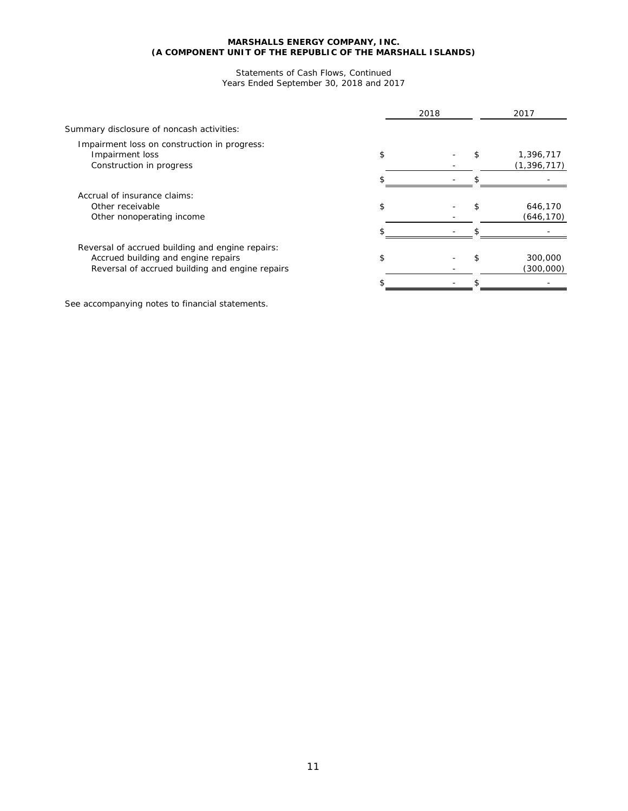#### Statements of Cash Flows, Continued Years Ended September 30, 2018 and 2017

|                                                                                                                                            |    | 2018 | 2017                       |
|--------------------------------------------------------------------------------------------------------------------------------------------|----|------|----------------------------|
| Summary disclosure of noncash activities:                                                                                                  |    |      |                            |
| Impairment loss on construction in progress:<br>Impairment loss<br>Construction in progress                                                | \$ |      | 1,396,717<br>(1, 396, 717) |
|                                                                                                                                            |    |      |                            |
| Accrual of insurance claims:<br>Other receivable<br>Other nonoperating income                                                              |    |      | 646,170<br>(646, 170)      |
|                                                                                                                                            |    |      |                            |
| Reversal of accrued building and engine repairs:<br>Accrued building and engine repairs<br>Reversal of accrued building and engine repairs | S  |      | 300,000<br>(300,000)       |
|                                                                                                                                            |    |      |                            |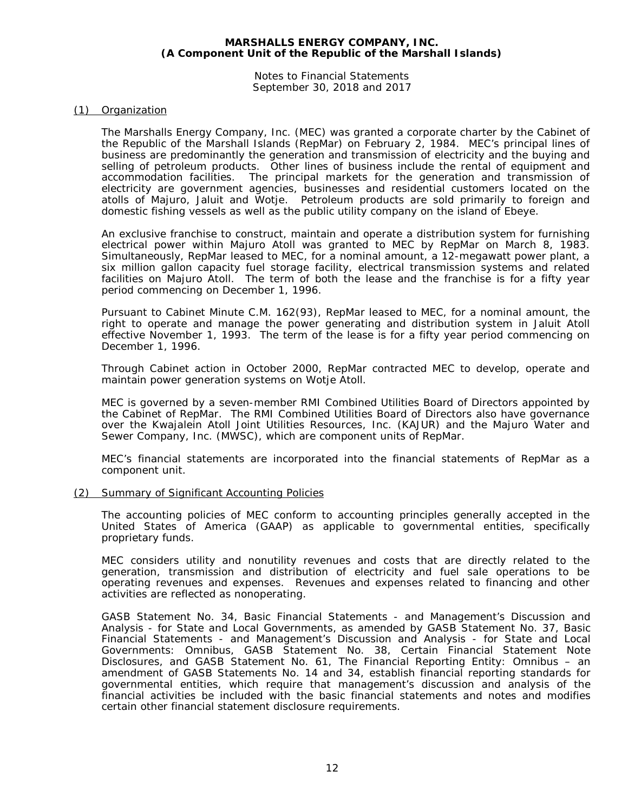Notes to Financial Statements September 30, 2018 and 2017

#### (1) Organization

The Marshalls Energy Company, Inc. (MEC) was granted a corporate charter by the Cabinet of the Republic of the Marshall Islands (RepMar) on February 2, 1984. MEC's principal lines of business are predominantly the generation and transmission of electricity and the buying and selling of petroleum products. Other lines of business include the rental of equipment and accommodation facilities. The principal markets for the generation and transmission of electricity are government agencies, businesses and residential customers located on the atolls of Majuro, Jaluit and Wotje. Petroleum products are sold primarily to foreign and domestic fishing vessels as well as the public utility company on the island of Ebeye.

An exclusive franchise to construct, maintain and operate a distribution system for furnishing electrical power within Majuro Atoll was granted to MEC by RepMar on March 8, 1983. Simultaneously, RepMar leased to MEC, for a nominal amount, a 12-megawatt power plant, a six million gallon capacity fuel storage facility, electrical transmission systems and related facilities on Majuro Atoll. The term of both the lease and the franchise is for a fifty year period commencing on December 1, 1996.

Pursuant to Cabinet Minute C.M. 162(93), RepMar leased to MEC, for a nominal amount, the right to operate and manage the power generating and distribution system in Jaluit Atoll effective November 1, 1993. The term of the lease is for a fifty year period commencing on December 1, 1996.

Through Cabinet action in October 2000, RepMar contracted MEC to develop, operate and maintain power generation systems on Wotje Atoll.

MEC is governed by a seven-member RMI Combined Utilities Board of Directors appointed by the Cabinet of RepMar. The RMI Combined Utilities Board of Directors also have governance over the Kwajalein Atoll Joint Utilities Resources, Inc. (KAJUR) and the Majuro Water and Sewer Company, Inc. (MWSC), which are component units of RepMar.

MEC's financial statements are incorporated into the financial statements of RepMar as a component unit.

#### (2) Summary of Significant Accounting Policies

The accounting policies of MEC conform to accounting principles generally accepted in the United States of America (GAAP) as applicable to governmental entities, specifically proprietary funds.

MEC considers utility and nonutility revenues and costs that are directly related to the generation, transmission and distribution of electricity and fuel sale operations to be operating revenues and expenses. Revenues and expenses related to financing and other activities are reflected as nonoperating.

GASB Statement No. 34, *Basic Financial Statements - and Management's Discussion and Analysis - for State and Local Governments*, as amended by GASB Statement No. 37, *Basic Financial Statements - and Management's Discussion and Analysis - for State and Local Governments: Omnibus*, GASB Statement No. 38, *Certain Financial Statement Note Disclosures*, and GASB Statement No. 61, *The Financial Reporting Entity: Omnibus – an amendment of GASB Statements No. 14 and 34,* establish financial reporting standards for governmental entities, which require that management's discussion and analysis of the financial activities be included with the basic financial statements and notes and modifies certain other financial statement disclosure requirements.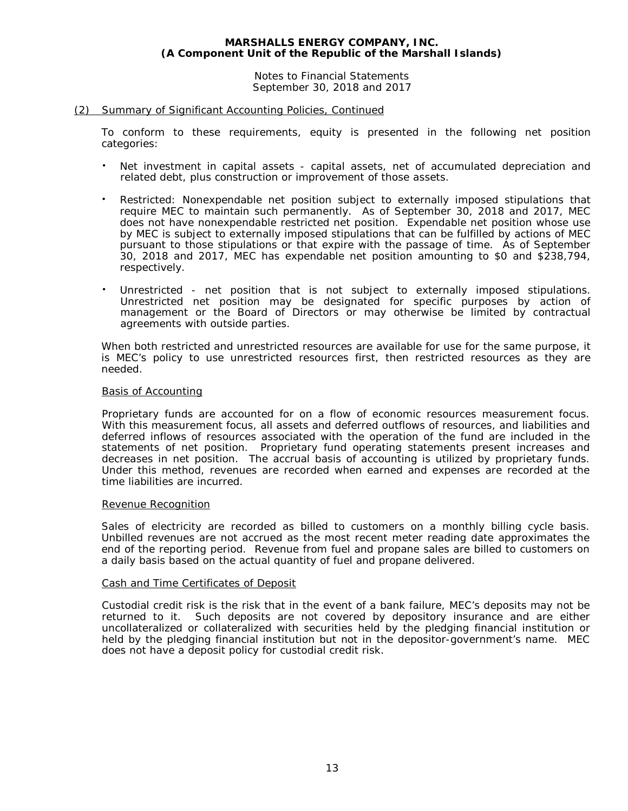Notes to Financial Statements September 30, 2018 and 2017

#### (2) Summary of Significant Accounting Policies, Continued

To conform to these requirements, equity is presented in the following net position categories:

- Net investment in capital assets capital assets, net of accumulated depreciation and related debt, plus construction or improvement of those assets.
- Restricted: Nonexpendable net position subject to externally imposed stipulations that require MEC to maintain such permanently. As of September 30, 2018 and 2017, MEC does not have nonexpendable restricted net position. Expendable net position whose use by MEC is subject to externally imposed stipulations that can be fulfilled by actions of MEC pursuant to those stipulations or that expire with the passage of time. As of September 30, 2018 and 2017, MEC has expendable net position amounting to \$0 and \$238,794, respectively.
- Unrestricted net position that is not subject to externally imposed stipulations. Unrestricted net position may be designated for specific purposes by action of management or the Board of Directors or may otherwise be limited by contractual agreements with outside parties.

When both restricted and unrestricted resources are available for use for the same purpose, it is MEC's policy to use unrestricted resources first, then restricted resources as they are needed.

#### Basis of Accounting

Proprietary funds are accounted for on a flow of economic resources measurement focus. With this measurement focus, all assets and deferred outflows of resources, and liabilities and deferred inflows of resources associated with the operation of the fund are included in the statements of net position. Proprietary fund operating statements present increases and decreases in net position. The accrual basis of accounting is utilized by proprietary funds. Under this method, revenues are recorded when earned and expenses are recorded at the time liabilities are incurred.

#### Revenue Recognition

Sales of electricity are recorded as billed to customers on a monthly billing cycle basis. Unbilled revenues are not accrued as the most recent meter reading date approximates the end of the reporting period. Revenue from fuel and propane sales are billed to customers on a daily basis based on the actual quantity of fuel and propane delivered.

#### Cash and Time Certificates of Deposit

Custodial credit risk is the risk that in the event of a bank failure, MEC's deposits may not be returned to it. Such deposits are not covered by depository insurance and are either uncollateralized or collateralized with securities held by the pledging financial institution or held by the pledging financial institution but not in the depositor-government's name. MEC does not have a deposit policy for custodial credit risk.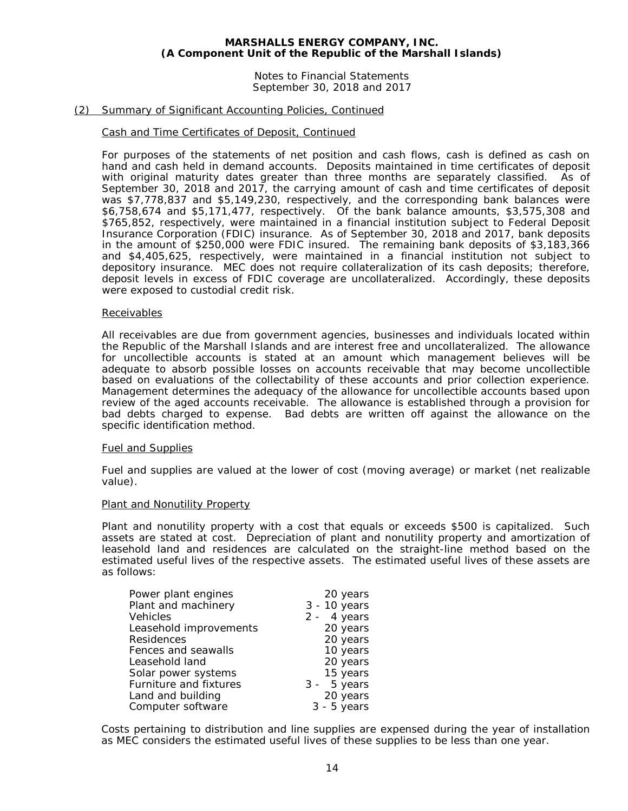Notes to Financial Statements September 30, 2018 and 2017

#### (2) Summary of Significant Accounting Policies, Continued

#### Cash and Time Certificates of Deposit, Continued

For purposes of the statements of net position and cash flows, cash is defined as cash on hand and cash held in demand accounts. Deposits maintained in time certificates of deposit with original maturity dates greater than three months are separately classified. As of September 30, 2018 and 2017, the carrying amount of cash and time certificates of deposit was \$7,778,837 and \$5,149,230, respectively, and the corresponding bank balances were \$6,758,674 and \$5,171,477, respectively. Of the bank balance amounts, \$3,575,308 and \$765,852, respectively, were maintained in a financial institution subject to Federal Deposit Insurance Corporation (FDIC) insurance. As of September 30, 2018 and 2017, bank deposits in the amount of \$250,000 were FDIC insured. The remaining bank deposits of \$3,183,366 and \$4,405,625, respectively, were maintained in a financial institution not subject to depository insurance. MEC does not require collateralization of its cash deposits; therefore, deposit levels in excess of FDIC coverage are uncollateralized. Accordingly, these deposits were exposed to custodial credit risk.

#### Receivables

All receivables are due from government agencies, businesses and individuals located within the Republic of the Marshall Islands and are interest free and uncollateralized. The allowance for uncollectible accounts is stated at an amount which management believes will be adequate to absorb possible losses on accounts receivable that may become uncollectible based on evaluations of the collectability of these accounts and prior collection experience. Management determines the adequacy of the allowance for uncollectible accounts based upon review of the aged accounts receivable. The allowance is established through a provision for bad debts charged to expense. Bad debts are written off against the allowance on the specific identification method.

#### Fuel and Supplies

Fuel and supplies are valued at the lower of cost (moving average) or market (net realizable value).

#### Plant and Nonutility Property

Plant and nonutility property with a cost that equals or exceeds \$500 is capitalized. Such assets are stated at cost. Depreciation of plant and nonutility property and amortization of leasehold land and residences are calculated on the straight-line method based on the estimated useful lives of the respective assets. The estimated useful lives of these assets are as follows:

| Power plant engines    | 20 years      |
|------------------------|---------------|
| Plant and machinery    | 3 - 10 years  |
| Vehicles               | $2 - 4$ years |
| Leasehold improvements | 20 years      |
| Residences             | 20 years      |
| Fences and seawalls    | 10 years      |
| Leasehold land         | 20 years      |
| Solar power systems    | 15 years      |
| Furniture and fixtures | $3 - 5$ years |
| Land and building      | 20 years      |
| Computer software      | $3 - 5$ years |

Costs pertaining to distribution and line supplies are expensed during the year of installation as MEC considers the estimated useful lives of these supplies to be less than one year.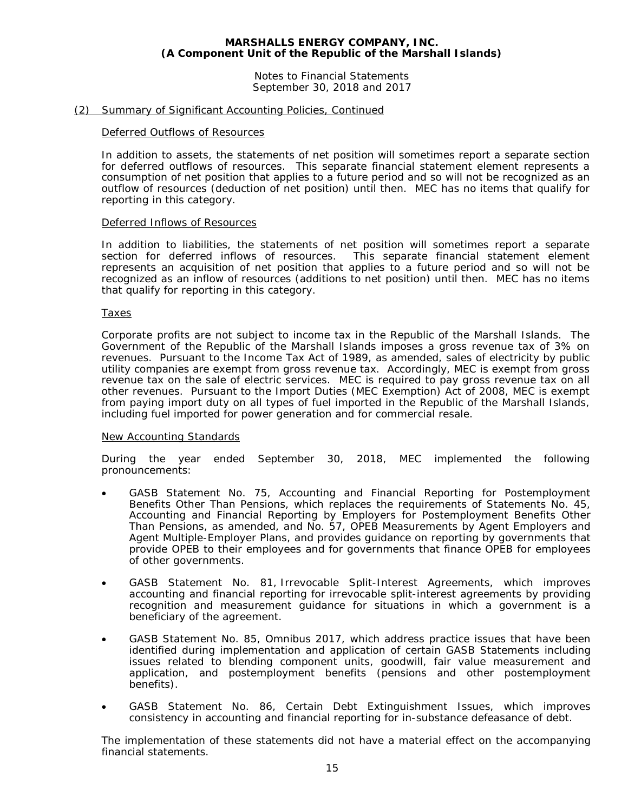Notes to Financial Statements September 30, 2018 and 2017

#### (2) Summary of Significant Accounting Policies, Continued

#### Deferred Outflows of Resources

In addition to assets, the statements of net position will sometimes report a separate section for deferred outflows of resources. This separate financial statement element represents a consumption of net position that applies to a future period and so will not be recognized as an outflow of resources (deduction of net position) until then. MEC has no items that qualify for reporting in this category.

#### Deferred Inflows of Resources

In addition to liabilities, the statements of net position will sometimes report a separate section for deferred inflows of resources. This separate financial statement element represents an acquisition of net position that applies to a future period and so will not be recognized as an inflow of resources (additions to net position) until then. MEC has no items that qualify for reporting in this category.

#### Taxes

Corporate profits are not subject to income tax in the Republic of the Marshall Islands. The Government of the Republic of the Marshall Islands imposes a gross revenue tax of 3% on revenues. Pursuant to the Income Tax Act of 1989, as amended, sales of electricity by public utility companies are exempt from gross revenue tax. Accordingly, MEC is exempt from gross revenue tax on the sale of electric services. MEC is required to pay gross revenue tax on all other revenues. Pursuant to the Import Duties (MEC Exemption) Act of 2008, MEC is exempt from paying import duty on all types of fuel imported in the Republic of the Marshall Islands, including fuel imported for power generation and for commercial resale.

#### New Accounting Standards

During the year ended September 30, 2018, MEC implemented the following pronouncements:

- GASB Statement No. 75, *Accounting and Financial Reporting for Postemployment Benefits Other Than Pensions*, which replaces the requirements of Statements No. 45, *Accounting and Financial Reporting by Employers for Postemployment Benefits Other Than Pensions*, as amended, and No. 57, *OPEB Measurements by Agent Employers and Agent Multiple-Employer Plans*, and provides guidance on reporting by governments that provide OPEB to their employees and for governments that finance OPEB for employees of other governments.
- GASB Statement No. 81, *Irrevocable Split-Interest Agreements,* which improves accounting and financial reporting for irrevocable split-interest agreements by providing recognition and measurement guidance for situations in which a government is a beneficiary of the agreement.
- GASB Statement No. 85, *Omnibus 2017*, which address practice issues that have been identified during implementation and application of certain GASB Statements including issues related to blending component units, goodwill, fair value measurement and application, and postemployment benefits (pensions and other postemployment benefits).
- GASB Statement No. 86, *Certain Debt Extinguishment Issues*, which improves consistency in accounting and financial reporting for in-substance defeasance of debt.

The implementation of these statements did not have a material effect on the accompanying financial statements.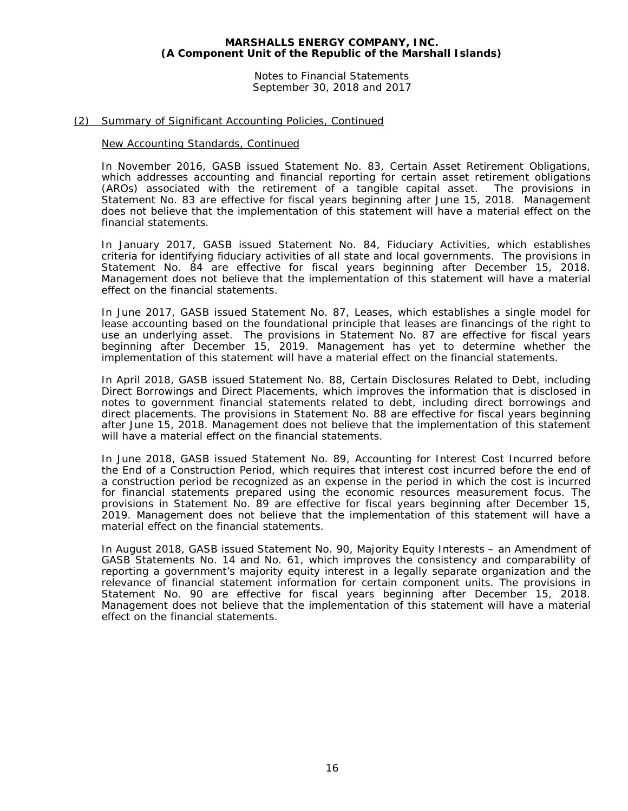Notes to Financial Statements September 30, 2018 and 2017

#### (2) Summary of Significant Accounting Policies, Continued

#### New Accounting Standards, Continued

In November 2016, GASB issued Statement No. 83, *Certain Asset Retirement Obligations*, which addresses accounting and financial reporting for certain asset retirement obligations (AROs) associated with the retirement of a tangible capital asset. The provisions in Statement No. 83 are effective for fiscal years beginning after June 15, 2018. Management does not believe that the implementation of this statement will have a material effect on the financial statements.

In January 2017, GASB issued Statement No. 84, *Fiduciary Activities*, which establishes criteria for identifying fiduciary activities of all state and local governments. The provisions in Statement No. 84 are effective for fiscal years beginning after December 15, 2018. Management does not believe that the implementation of this statement will have a material effect on the financial statements.

In June 2017, GASB issued Statement No. 87, *Leases*, which establishes a single model for lease accounting based on the foundational principle that leases are financings of the right to use an underlying asset. The provisions in Statement No. 87 are effective for fiscal years beginning after December 15, 2019. Management has yet to determine whether the implementation of this statement will have a material effect on the financial statements.

In April 2018, GASB issued Statement No. 88, *Certain Disclosures Related to Debt, including Direct Borrowings and Direct Placements*, which improves the information that is disclosed in notes to government financial statements related to debt, including direct borrowings and direct placements. The provisions in Statement No. 88 are effective for fiscal years beginning after June 15, 2018. Management does not believe that the implementation of this statement will have a material effect on the financial statements.

In June 2018, GASB issued Statement No. 89, *Accounting for Interest Cost Incurred before the End of a Construction Period*, which requires that interest cost incurred before the end of a construction period be recognized as an expense in the period in which the cost is incurred for financial statements prepared using the economic resources measurement focus. The provisions in Statement No. 89 are effective for fiscal years beginning after December 15, 2019. Management does not believe that the implementation of this statement will have a material effect on the financial statements.

In August 2018, GASB issued Statement No. 90, *Majority Equity Interests – an Amendment of GASB Statements No. 14 and No. 61,* which improves the consistency and comparability of reporting a government's majority equity interest in a legally separate organization and the relevance of financial statement information for certain component units. The provisions in Statement No. 90 are effective for fiscal years beginning after December 15, 2018. Management does not believe that the implementation of this statement will have a material effect on the financial statements.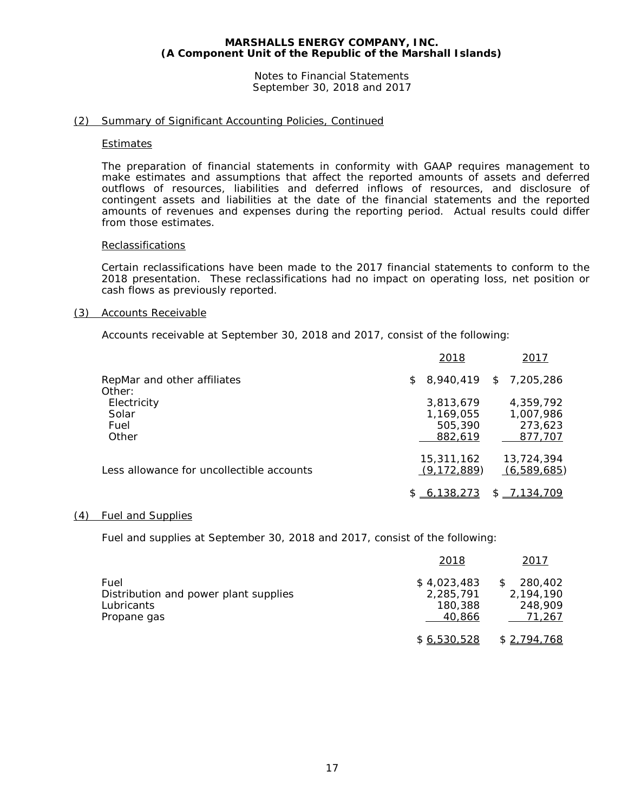Notes to Financial Statements September 30, 2018 and 2017

#### (2) Summary of Significant Accounting Policies, Continued

#### Estimates

The preparation of financial statements in conformity with GAAP requires management to make estimates and assumptions that affect the reported amounts of assets and deferred outflows of resources, liabilities and deferred inflows of resources, and disclosure of contingent assets and liabilities at the date of the financial statements and the reported amounts of revenues and expenses during the reporting period. Actual results could differ from those estimates.

#### **Reclassifications**

Certain reclassifications have been made to the 2017 financial statements to conform to the 2018 presentation. These reclassifications had no impact on operating loss, net position or cash flows as previously reported.

#### (3) Accounts Receivable

Accounts receivable at September 30, 2018 and 2017, consist of the following:

|                                           | 2018                                         | 2017                                         |
|-------------------------------------------|----------------------------------------------|----------------------------------------------|
| RepMar and other affiliates<br>Other:     | $$8,940,419$ $$7,205,286$                    |                                              |
| Electricity<br>Solar<br>Fuel<br>Other     | 3,813,679<br>1,169,055<br>505,390<br>882.619 | 4,359,792<br>1,007,986<br>273,623<br>877,707 |
| Less allowance for uncollectible accounts | 15,311,162<br>(9, 172, 889)<br>\$6,138,273   | 13,724,394<br>(6,589,685)<br>$$ -7,134,709$  |

#### (4) Fuel and Supplies

Fuel and supplies at September 30, 2018 and 2017, consist of the following:

|                                                             | 2018                                | 2017                            |
|-------------------------------------------------------------|-------------------------------------|---------------------------------|
| Fuel<br>Distribution and power plant supplies<br>Lubricants | \$4,023,483<br>2,285,791<br>180,388 | 280,402<br>2.194.190<br>248,909 |
| Propane gas                                                 | 40.866                              | 71,267                          |
|                                                             | \$6.530.528                         | \$2,794,768                     |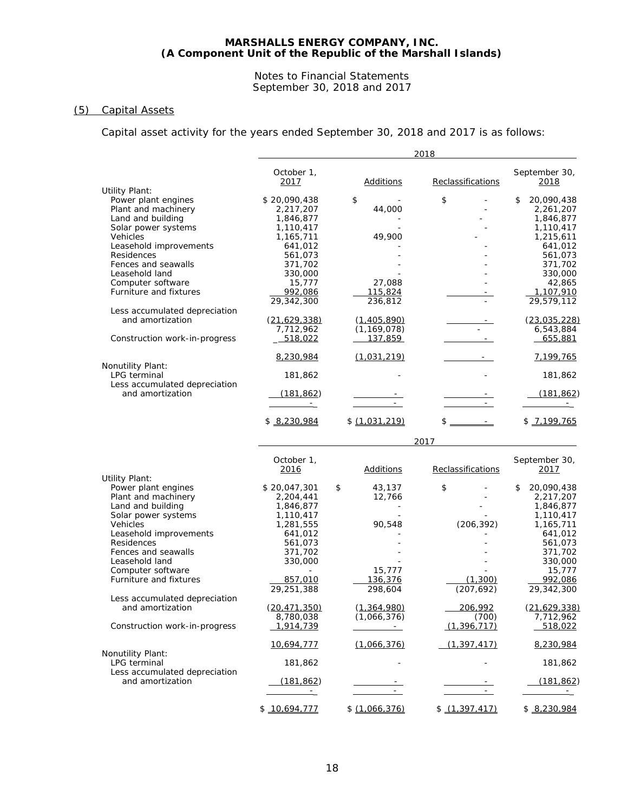#### Notes to Financial Statements September 30, 2018 and 2017

# (5) Capital Assets

Capital asset activity for the years ended September 30, 2018 and 2017 is as follows:

|                                                   |                              |                    | 2018              |                                |
|---------------------------------------------------|------------------------------|--------------------|-------------------|--------------------------------|
|                                                   | October 1,<br>2017           | <b>Additions</b>   | Reclassifications | September 30,<br>2018          |
| <b>Utility Plant:</b>                             |                              |                    |                   |                                |
| Power plant engines                               | \$20,090,438                 | \$                 | \$                | 20,090,438<br>\$               |
| Plant and machinery                               | 2,217,207                    | 44,000             |                   | 2,261,207                      |
| Land and building                                 | 1,846,877                    |                    |                   | 1,846,877                      |
| Solar power systems                               | 1,110,417                    |                    |                   | 1,110,417                      |
| Vehicles                                          | 1,165,711                    | 49,900             |                   | 1,215,611                      |
| Leasehold improvements                            | 641,012                      |                    |                   | 641,012                        |
| Residences                                        | 561,073                      |                    |                   | 561,073                        |
| Fences and seawalls                               | 371,702                      |                    |                   | 371,702                        |
| Leasehold land                                    | 330,000                      |                    |                   | 330,000                        |
| Computer software<br>Furniture and fixtures       | 15,777                       | 27,088<br>115,824  |                   | 42,865                         |
|                                                   | <u>992,086</u><br>29,342,300 | 236,812            |                   | <u>1,107,910</u><br>29,579,112 |
|                                                   |                              |                    |                   |                                |
| Less accumulated depreciation<br>and amortization | <u>(21,629,338)</u>          | <u>(1,405,890)</u> |                   | (23,035,228)                   |
|                                                   | 7,712,962                    | (1, 169, 078)      |                   | 6,543,884                      |
| Construction work-in-progress                     | 518,022                      | 137,859            |                   | 655,881                        |
|                                                   |                              |                    |                   |                                |
| Nonutility Plant:                                 | 8,230,984                    | (1,031,219)        |                   | 7,199,765                      |
| LPG terminal                                      | 181,862                      |                    | ٠                 | 181,862                        |
| Less accumulated depreciation                     |                              |                    |                   |                                |
| and amortization                                  | <u>(181,862)</u>             |                    |                   | (181, 862)                     |
|                                                   | $ \cdots$                    |                    |                   |                                |
|                                                   | \$8,230,984                  | \$(1,031,219)      | $$$ $-$           | \$7,199,765                    |
|                                                   |                              |                    | 2017              |                                |
|                                                   | October 1,                   |                    |                   | September 30,                  |
| Utility Plant:                                    | 2016                         | <b>Additions</b>   | Reclassifications | <u> 2017 </u>                  |
| Power plant engines                               | \$20,047,301                 | \$<br>43,137       | \$                | 20,090,438<br>\$               |
| Plant and machinery                               | 2,204,441                    | 12,766             |                   | 2,217,207                      |
| Land and building                                 | 1,846,877                    |                    |                   | 1,846,877                      |
| Solar power systems                               | 1,110,417                    |                    |                   | 1,110,417                      |
| Vehicles                                          | 1,281,555                    | 90,548             | (206, 392)        | 1,165,711                      |
| Leasehold improvements                            | 641,012                      |                    |                   | 641,012                        |
| Residences                                        | 561,073                      |                    |                   | 561,073                        |
| Fences and seawalls                               | 371,702                      |                    |                   | 371,702                        |
| Leasehold land                                    | 330,000                      |                    |                   | 330,000                        |
| Computer software                                 |                              | 15,777             |                   | 15,777                         |
| Furniture and fixtures                            | 857,010                      | 136,376            | (1,300)           | 992,086                        |
|                                                   | 29,251,388                   | 298,604            | (207, 692)        | 29,342,300                     |
| Less accumulated depreciation                     |                              |                    |                   |                                |
| and amortization                                  | (20.471.350)                 | (1, 364, 980)      | 206,992           | (21, 629, 338)                 |
|                                                   | 8,780,038                    | (1,066,376)        | (700)             | 7,712,962                      |
| Construction work-in-progress                     | 1,914,739                    | $\sim$             | (1, 396, 717)     | 518,022                        |
| Nonutility Plant:                                 | 10,694,777                   | (1,066,376)        | (1, 397, 417)     | 8,230,984                      |
| LPG terminal                                      | 181,862                      |                    |                   | 181,862                        |
| Less accumulated depreciation<br>and amortization | (181, 862)                   |                    |                   | (181, 862)                     |
|                                                   | $\equiv$                     |                    |                   |                                |
|                                                   | \$10,694,777                 | \$(1,066,376)      | \$ (1,397,417)    | \$ 8,230,984                   |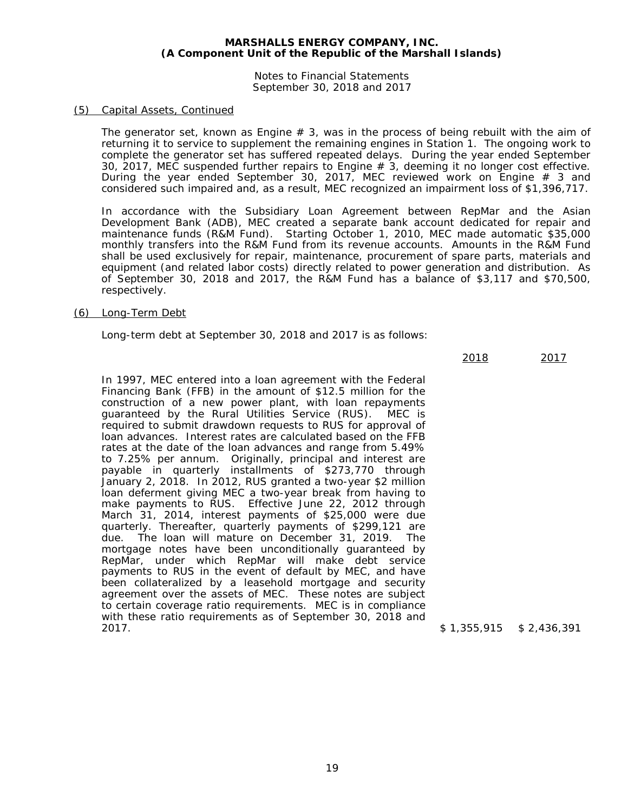Notes to Financial Statements September 30, 2018 and 2017

#### (5) Capital Assets, Continued

The generator set, known as Engine  $# 3$ , was in the process of being rebuilt with the aim of returning it to service to supplement the remaining engines in Station 1. The ongoing work to complete the generator set has suffered repeated delays. During the year ended September 30, 2017, MEC suspended further repairs to Engine # 3, deeming it no longer cost effective. During the year ended September 30, 2017, MEC reviewed work on Engine # 3 and considered such impaired and, as a result, MEC recognized an impairment loss of \$1,396,717.

In accordance with the Subsidiary Loan Agreement between RepMar and the Asian Development Bank (ADB), MEC created a separate bank account dedicated for repair and maintenance funds (R&M Fund). Starting October 1, 2010, MEC made automatic \$35,000 monthly transfers into the R&M Fund from its revenue accounts. Amounts in the R&M Fund shall be used exclusively for repair, maintenance, procurement of spare parts, materials and equipment (and related labor costs) directly related to power generation and distribution. As of September 30, 2018 and 2017, the R&M Fund has a balance of \$3,117 and \$70,500, respectively.

#### (6) Long-Term Debt

Long-term debt at September 30, 2018 and 2017 is as follows:

2018 2017

In 1997, MEC entered into a loan agreement with the Federal Financing Bank (FFB) in the amount of \$12.5 million for the construction of a new power plant, with loan repayments guaranteed by the Rural Utilities Service (RUS). MEC is required to submit drawdown requests to RUS for approval of loan advances. Interest rates are calculated based on the FFB rates at the date of the loan advances and range from 5.49% to 7.25% per annum. Originally, principal and interest are payable in quarterly installments of \$273,770 through January 2, 2018. In 2012, RUS granted a two-year \$2 million loan deferment giving MEC a two-year break from having to make payments to RUS. Effective June 22, 2012 through March 31, 2014, interest payments of \$25,000 were due quarterly. Thereafter, quarterly payments of \$299,121 are The loan will mature on December 31, 2019. The mortgage notes have been unconditionally guaranteed by RepMar, under which RepMar will make debt service payments to RUS in the event of default by MEC, and have been collateralized by a leasehold mortgage and security agreement over the assets of MEC. These notes are subject to certain coverage ratio requirements. MEC is in compliance with these ratio requirements as of September 30, 2018 and 2017

 $$1,355,915$   $$2,436,391$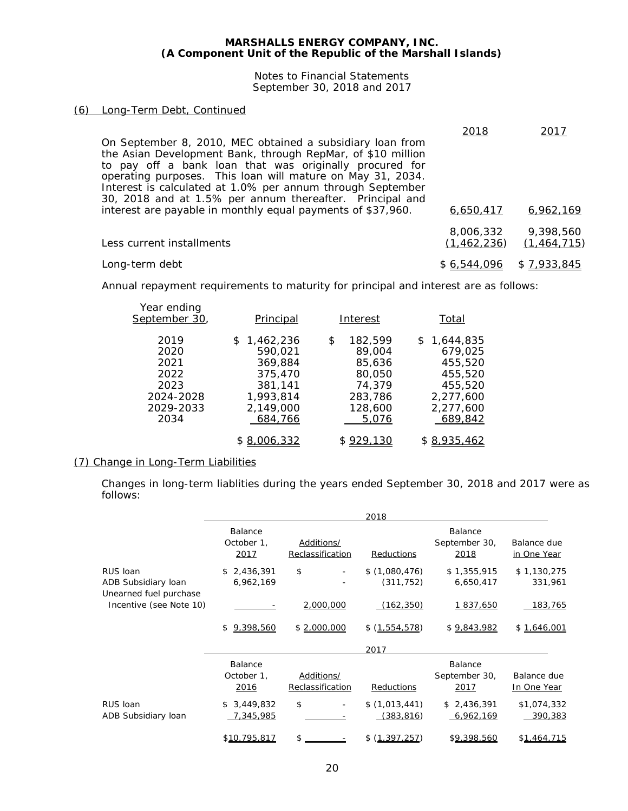Notes to Financial Statements September 30, 2018 and 2017

#### (6) Long-Term Debt, Continued

| On September 8, 2010, MEC obtained a subsidiary loan from<br>the Asian Development Bank, through RepMar, of \$10 million<br>to pay off a bank loan that was originally procured for<br>operating purposes. This loan will mature on May 31, 2034.<br>Interest is calculated at 1.0% per annum through September<br>30, 2018 and at 1.5% per annum thereafter. Principal and | 2018                     | 2017                       |
|-----------------------------------------------------------------------------------------------------------------------------------------------------------------------------------------------------------------------------------------------------------------------------------------------------------------------------------------------------------------------------|--------------------------|----------------------------|
| interest are payable in monthly equal payments of \$37,960.                                                                                                                                                                                                                                                                                                                 | 6,650,417                | 6,962,169                  |
| Less current installments                                                                                                                                                                                                                                                                                                                                                   | 8,006,332<br>(1,462,236) | 9,398,560<br>(1, 464, 715) |
| Long-term debt                                                                                                                                                                                                                                                                                                                                                              | \$6,544,096              | \$7.933.845                |

Annual repayment requirements to maturity for principal and interest are as follows:

| Year ending<br>September 30,                                           | Principal                                                                                    | Interest                                                                             | Total                                                                                        |
|------------------------------------------------------------------------|----------------------------------------------------------------------------------------------|--------------------------------------------------------------------------------------|----------------------------------------------------------------------------------------------|
| 2019<br>2020<br>2021<br>2022<br>2023<br>2024-2028<br>2029-2033<br>2034 | \$1,462,236<br>590.021<br>369,884<br>375,470<br>381,141<br>1,993,814<br>2,149,000<br>684,766 | 182.599<br>\$<br>89,004<br>85,636<br>80,050<br>74,379<br>283,786<br>128,600<br>5,076 | \$1.644.835<br>679.025<br>455,520<br>455,520<br>455,520<br>2,277,600<br>2,277,600<br>689,842 |
|                                                                        | 16.332                                                                                       | \$929,130                                                                            | \$8,935,462                                                                                  |

#### (7) Change in Long-Term Liabilities

Changes in long-term liablities during the years ended September 30, 2018 and 2017 were as follows:

|                                                           |                               |                                | 2018                        |                                  |                            |
|-----------------------------------------------------------|-------------------------------|--------------------------------|-----------------------------|----------------------------------|----------------------------|
|                                                           | Balance<br>October 1,<br>2017 | Additions/<br>Reclassification | Reductions                  | Balance<br>September 30,<br>2018 | Balance due<br>in One Year |
| RUS Ioan<br>ADB Subsidiary loan<br>Unearned fuel purchase | \$2,436,391<br>6,962,169      | \$                             | \$(1,080,476)<br>(311, 752) | \$1,355,915<br>6,650,417         | \$1,130,275<br>331,961     |
| Incentive (see Note 10)                                   |                               | 2,000,000                      | (162, 350)                  | 1 837,650                        | 183,765                    |
|                                                           | 9,398,560<br>\$               | \$2,000,000                    | \$(1,554,578)               | \$9,843,982                      | \$1,646,001                |
|                                                           |                               |                                | 2017                        |                                  |                            |
|                                                           | Balance<br>October 1,<br>2016 | Additions/<br>Reclassification | Reductions                  | Balance<br>September 30,<br>2017 | Balance due<br>In One Year |
| RUS Ioan<br>ADB Subsidiary loan                           | 3,449,832<br>\$<br>7,345,985  | \$                             | \$(1,013,441)<br>(383, 816) | \$2,436,391<br>6,962,169         | \$1,074,332<br>390,383     |
|                                                           | \$10.795.817                  | \$                             | \$ (1.397.252)              | \$9,398,560                      | \$1,464,715                |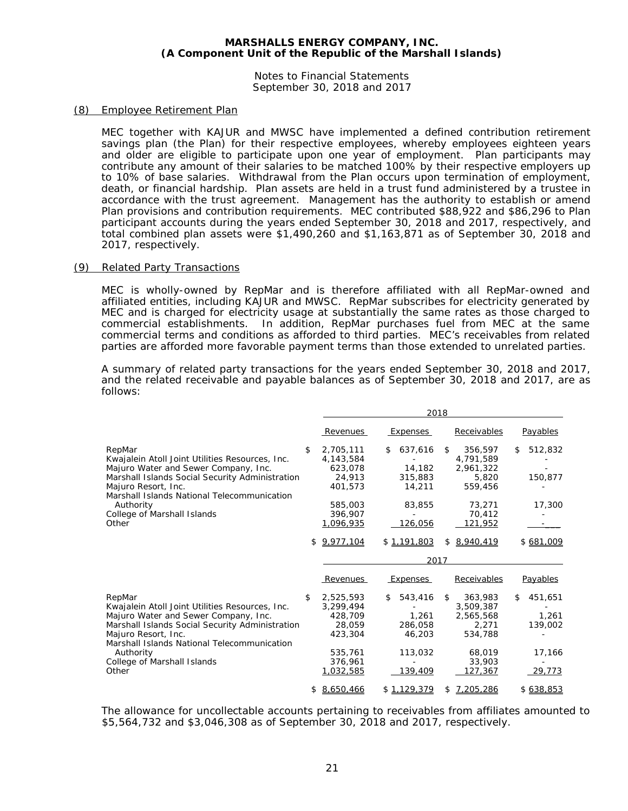Notes to Financial Statements September 30, 2018 and 2017

#### (8) Employee Retirement Plan

MEC together with KAJUR and MWSC have implemented a defined contribution retirement savings plan (the Plan) for their respective employees, whereby employees eighteen years and older are eligible to participate upon one year of employment. Plan participants may contribute any amount of their salaries to be matched 100% by their respective employers up to 10% of base salaries. Withdrawal from the Plan occurs upon termination of employment, death, or financial hardship. Plan assets are held in a trust fund administered by a trustee in accordance with the trust agreement. Management has the authority to establish or amend Plan provisions and contribution requirements. MEC contributed \$88,922 and \$86,296 to Plan participant accounts during the years ended September 30, 2018 and 2017, respectively, and total combined plan assets were \$1,490,260 and \$1,163,871 as of September 30, 2018 and 2017, respectively.

#### (9) Related Party Transactions

MEC is wholly-owned by RepMar and is therefore affiliated with all RepMar-owned and affiliated entities, including KAJUR and MWSC. RepMar subscribes for electricity generated by MEC and is charged for electricity usage at substantially the same rates as those charged to commercial establishments. In addition, RepMar purchases fuel from MEC at the same commercial terms and conditions as afforded to third parties. MEC's receivables from related parties are afforded more favorable payment terms than those extended to unrelated parties.

A summary of related party transactions for the years ended September 30, 2018 and 2017, and the related receivable and payable balances as of September 30, 2018 and 2017, are as follows:

|                                                                    | 2018            |    |             |    |             |    |           |
|--------------------------------------------------------------------|-----------------|----|-------------|----|-------------|----|-----------|
|                                                                    | Revenues        |    | Expenses    |    | Receivables |    | Payables  |
| RepMar                                                             | \$<br>2,705,111 | S  | 637,616     | \$ | 356,597     | \$ | 512,832   |
| Kwajalein Atoll Joint Utilities Resources, Inc.                    | 4,143,584       |    |             |    | 4,791,589   |    |           |
| Majuro Water and Sewer Company, Inc.                               | 623.078         |    | 14,182      |    | 2,961,322   |    |           |
| Marshall Islands Social Security Administration                    | 24,913          |    | 315,883     |    | 5,820       |    | 150,877   |
| Majuro Resort, Inc.<br>Marshall Islands National Telecommunication | 401.573         |    | 14,211      |    | 559,456     |    |           |
| Authority                                                          | 585,003         |    | 83,855      |    | 73,271      |    | 17,300    |
| College of Marshall Islands                                        | 396,907         |    |             |    | 70,412      |    |           |
| Other                                                              | 1,096,935       |    | 126,056     |    | 121,952     |    |           |
|                                                                    | \$<br>9.977.104 |    | \$1,191,803 |    | 8,940,419   |    | \$681.009 |
|                                                                    |                 |    | 2017        |    |             |    |           |
|                                                                    | Revenues        |    | Expenses    |    | Receivables |    | Payables  |
| RepMar                                                             | \$<br>2.525.593 | \$ | 543,416     | \$ | 363,983     | \$ | 451.651   |
| Kwajalein Atoll Joint Utilities Resources, Inc.                    | 3,299,494       |    |             |    | 3,509,387   |    |           |
| Majuro Water and Sewer Company, Inc.                               | 428,709         |    | 1,261       |    | 2,565,568   |    | 1,261     |
| Marshall Islands Social Security Administration                    | 28,059          |    | 286,058     |    | 2.271       |    | 139,002   |
| Majuro Resort, Inc.                                                | 423,304         |    | 46,203      |    | 534,788     |    |           |
| Marshall Islands National Telecommunication                        |                 |    |             |    |             |    |           |
| Authority                                                          | 535,761         |    | 113,032     |    | 68,019      |    | 17,166    |
| College of Marshall Islands                                        | 376,961         |    |             |    | 33,903      |    |           |
| Other                                                              | 1,032,585       |    | 139,409     |    | 127,367     |    | 29,773    |
|                                                                    | \$<br>8.650.466 |    | \$1.129.379 |    | 7,205,286   |    | \$638.853 |

The allowance for uncollectable accounts pertaining to receivables from affiliates amounted to \$5,564,732 and \$3,046,308 as of September 30, 2018 and 2017, respectively.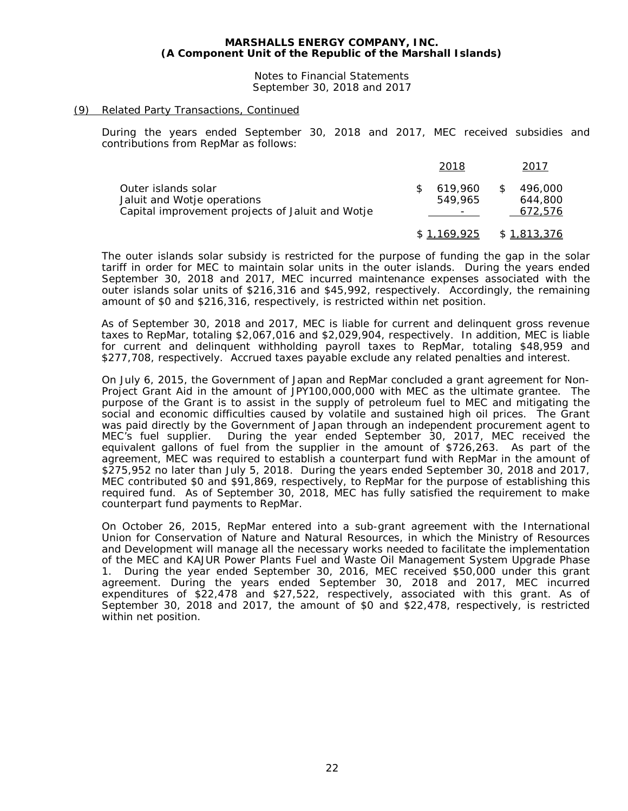Notes to Financial Statements September 30, 2018 and 2017

#### (9) Related Party Transactions, Continued

During the years ended September 30, 2018 and 2017, MEC received subsidies and contributions from RepMar as follows:

|                                                                                                        | 2018               |    | 2017                          |
|--------------------------------------------------------------------------------------------------------|--------------------|----|-------------------------------|
| Outer islands solar<br>Jaluit and Wotje operations<br>Capital improvement projects of Jaluit and Wotje | 619.960<br>549.965 | S. | 496.000<br>644.800<br>672,576 |
|                                                                                                        | \$1,169,925        |    | \$1,813,376                   |

The outer islands solar subsidy is restricted for the purpose of funding the gap in the solar tariff in order for MEC to maintain solar units in the outer islands. During the years ended September 30, 2018 and 2017, MEC incurred maintenance expenses associated with the outer islands solar units of \$216,316 and \$45,992, respectively. Accordingly, the remaining amount of \$0 and \$216,316, respectively, is restricted within net position.

As of September 30, 2018 and 2017, MEC is liable for current and delinquent gross revenue taxes to RepMar, totaling \$2,067,016 and \$2,029,904, respectively. In addition, MEC is liable for current and delinquent withholding payroll taxes to RepMar, totaling \$48,959 and \$277,708, respectively. Accrued taxes payable exclude any related penalties and interest.

On July 6, 2015, the Government of Japan and RepMar concluded a grant agreement for Non-Project Grant Aid in the amount of JPY100,000,000 with MEC as the ultimate grantee. The purpose of the Grant is to assist in the supply of petroleum fuel to MEC and mitigating the social and economic difficulties caused by volatile and sustained high oil prices. The Grant was paid directly by the Government of Japan through an independent procurement agent to<br>MEC's fuel supplier. During the year ended September 30, 2017, MEC received the During the year ended September 30, 2017, MEC received the equivalent gallons of fuel from the supplier in the amount of \$726,263. As part of the agreement, MEC was required to establish a counterpart fund with RepMar in the amount of \$275,952 no later than July 5, 2018. During the years ended September 30, 2018 and 2017, MEC contributed \$0 and \$91,869, respectively, to RepMar for the purpose of establishing this required fund. As of September 30, 2018, MEC has fully satisfied the requirement to make counterpart fund payments to RepMar.

On October 26, 2015, RepMar entered into a sub-grant agreement with the International Union for Conservation of Nature and Natural Resources, in which the Ministry of Resources and Development will manage all the necessary works needed to facilitate the implementation of the MEC and KAJUR Power Plants Fuel and Waste Oil Management System Upgrade Phase 1. During the year ended September 30, 2016, MEC received \$50,000 under this grant agreement. During the years ended September 30, 2018 and 2017, MEC incurred expenditures of \$22,478 and \$27,522, respectively, associated with this grant. As of September 30, 2018 and 2017, the amount of \$0 and \$22,478, respectively, is restricted within net position.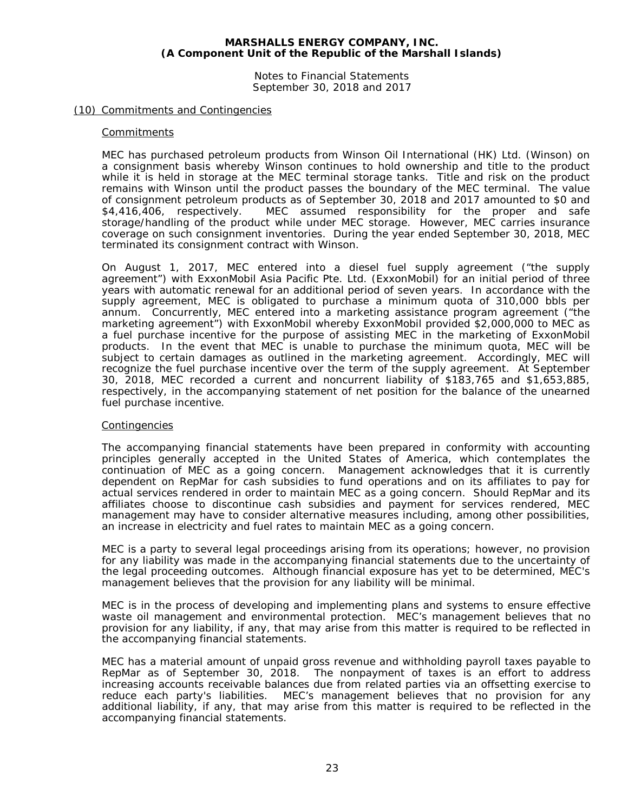Notes to Financial Statements September 30, 2018 and 2017

#### (10) Commitments and Contingencies

#### **Commitments**

MEC has purchased petroleum products from Winson Oil International (HK) Ltd. (Winson) on a consignment basis whereby Winson continues to hold ownership and title to the product while it is held in storage at the MEC terminal storage tanks. Title and risk on the product remains with Winson until the product passes the boundary of the MEC terminal. The value of consignment petroleum products as of September 30, 2018 and 2017 amounted to \$0 and \$4,416,406, respectively. MEC assumed responsibility for the proper and safe storage/handling of the product while under MEC storage. However, MEC carries insurance coverage on such consignment inventories. During the year ended September 30, 2018, MEC terminated its consignment contract with Winson.

On August 1, 2017, MEC entered into a diesel fuel supply agreement ("the supply agreement") with ExxonMobil Asia Pacific Pte. Ltd. (ExxonMobil) for an initial period of three years with automatic renewal for an additional period of seven years. In accordance with the supply agreement, MEC is obligated to purchase a minimum quota of 310,000 bbls per annum. Concurrently, MEC entered into a marketing assistance program agreement ("the marketing agreement") with ExxonMobil whereby ExxonMobil provided \$2,000,000 to MEC as a fuel purchase incentive for the purpose of assisting MEC in the marketing of ExxonMobil products. In the event that MEC is unable to purchase the minimum quota, MEC will be subject to certain damages as outlined in the marketing agreement. Accordingly, MEC will recognize the fuel purchase incentive over the term of the supply agreement. At September 30, 2018, MEC recorded a current and noncurrent liability of \$183,765 and \$1,653,885, respectively, in the accompanying statement of net position for the balance of the unearned fuel purchase incentive.

#### Contingencies

The accompanying financial statements have been prepared in conformity with accounting principles generally accepted in the United States of America, which contemplates the continuation of MEC as a going concern. Management acknowledges that it is currently dependent on RepMar for cash subsidies to fund operations and on its affiliates to pay for actual services rendered in order to maintain MEC as a going concern. Should RepMar and its affiliates choose to discontinue cash subsidies and payment for services rendered, MEC management may have to consider alternative measures including, among other possibilities, an increase in electricity and fuel rates to maintain MEC as a going concern.

MEC is a party to several legal proceedings arising from its operations; however, no provision for any liability was made in the accompanying financial statements due to the uncertainty of the legal proceeding outcomes. Although financial exposure has yet to be determined, MEC's management believes that the provision for any liability will be minimal.

MEC is in the process of developing and implementing plans and systems to ensure effective waste oil management and environmental protection. MEC's management believes that no provision for any liability, if any, that may arise from this matter is required to be reflected in the accompanying financial statements.

MEC has a material amount of unpaid gross revenue and withholding payroll taxes payable to RepMar as of September 30, 2018. The nonpayment of taxes is an effort to address increasing accounts receivable balances due from related parties via an offsetting exercise to reduce each party's liabilities. MEC's management believes that no provision for any additional liability, if any, that may arise from this matter is required to be reflected in the accompanying financial statements.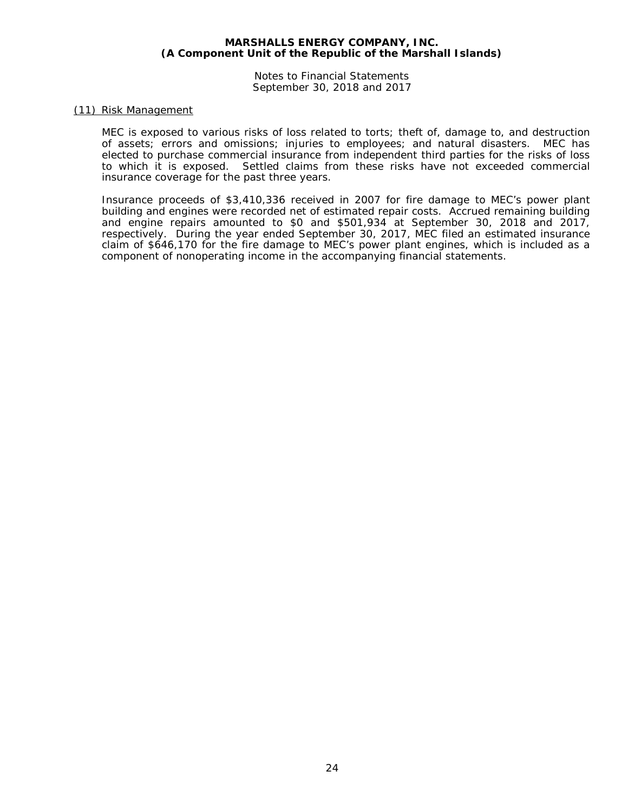Notes to Financial Statements September 30, 2018 and 2017

#### (11) Risk Management

MEC is exposed to various risks of loss related to torts; theft of, damage to, and destruction of assets; errors and omissions; injuries to employees; and natural disasters. MEC has elected to purchase commercial insurance from independent third parties for the risks of loss to which it is exposed. Settled claims from these risks have not exceeded commercial insurance coverage for the past three years.

Insurance proceeds of \$3,410,336 received in 2007 for fire damage to MEC's power plant building and engines were recorded net of estimated repair costs. Accrued remaining building and engine repairs amounted to \$0 and \$501,934 at September 30, 2018 and 2017, respectively. During the year ended September 30, 2017, MEC filed an estimated insurance claim of \$646,170 for the fire damage to MEC's power plant engines, which is included as a component of nonoperating income in the accompanying financial statements.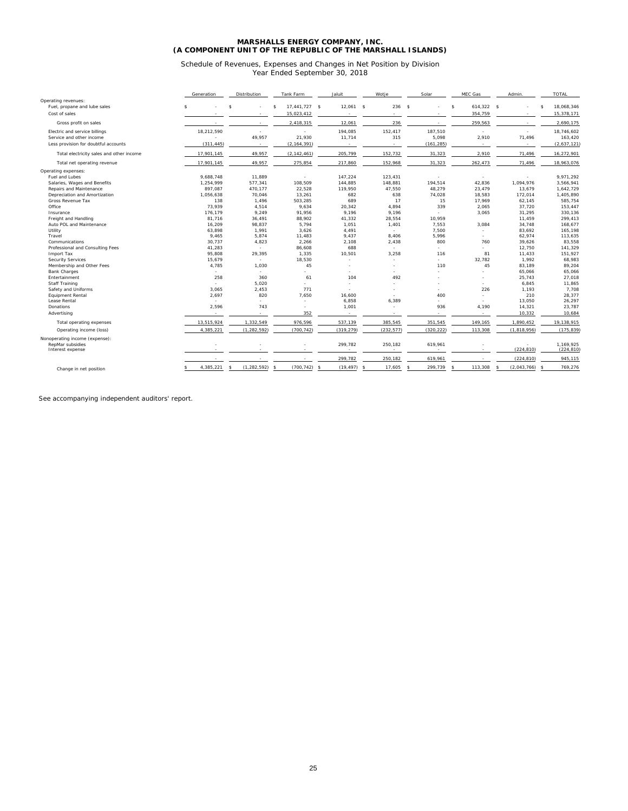#### Schedule of Revenues, Expenses and Changes in Net Position by Division Year Ended September 30, 2018

|                                          |                    | Generation     |    | Distribution  |                    | Tank Farm                |    | Jaluit      |   | Wotje                    |              | Solar                    |    | MEC Gas       |    | Admin.                   |                    | <b>TOTAL</b> |
|------------------------------------------|--------------------|----------------|----|---------------|--------------------|--------------------------|----|-------------|---|--------------------------|--------------|--------------------------|----|---------------|----|--------------------------|--------------------|--------------|
| Operating revenues:                      |                    |                |    |               |                    |                          |    |             |   |                          |              |                          |    |               |    |                          |                    |              |
| Fuel, propane and lube sales             | $\mathbf{\hat{s}}$ |                | s. |               | $\mathbf{\hat{s}}$ | 17,441,727 \$            |    | $12,061$ \$ |   | 236                      | $\mathbf{s}$ |                          | s  | 614,322 \$    |    |                          | $\mathbf{\hat{s}}$ | 18,068,346   |
| Cost of sales                            |                    |                |    |               |                    | 15,023,412               |    |             |   | ٠                        |              | ٠                        |    | 354,759       |    |                          |                    | 15,378,171   |
| Gross profit on sales                    |                    |                |    |               |                    | 2,418,315                |    | 12,061      |   | 236                      |              |                          |    | 259,563       |    |                          |                    | 2,690,175    |
| Electric and service billings            |                    | 18,212,590     |    |               |                    |                          |    | 194,085     |   | 152,417                  |              | 187,510                  |    | $\sim$        |    | ×,                       |                    | 18,746,602   |
| Service and other income                 |                    |                |    | 49,957        |                    | 21,930                   |    | 11,714      |   | 315                      |              | 5,098                    |    | 2,910         |    | 71,496                   |                    | 163,420      |
| Less provision for doubtful accounts     |                    | (311.445)      |    | $\sim$        |                    | (2.164.391)              |    |             |   |                          |              | (161, 285)               |    | $\sim$        |    | $\overline{\phantom{a}}$ |                    | (2,637,121)  |
| Total electricity sales and other income |                    | 17,901,145     |    | 49,957        |                    | (2, 142, 461)            |    | 205,799     |   | 152,732                  |              | 31,323                   |    | 2,910         |    | 71,496                   |                    | 16,272,901   |
| Total net operating revenue              |                    | 17.901.145     |    | 49.957        |                    | 275,854                  |    | 217,860     |   | 152,968                  |              | 31,323                   |    | 262.473       |    | 71,496                   |                    | 18,963,076   |
| Operating expenses:                      |                    |                |    |               |                    |                          |    |             |   |                          |              |                          |    |               |    |                          |                    |              |
| Fuel and Lubes                           |                    | 9.688.748      |    | 11.889        |                    | ٠                        |    | 147.224     |   | 123.431                  |              | ٠.                       |    | $\sim$        |    | $\overline{a}$           |                    | 9,971,292    |
| Salaries, Wages and Benefits             |                    | 1,254,999      |    | 577,341       |                    | 108,509                  |    | 144,885     |   | 148,881                  |              | 194,514                  |    | 42,836        |    | 1,094,976                |                    | 3,566,941    |
| Repairs and Maintenance                  |                    | 897.087        |    | 470.177       |                    | 22.528                   |    | 119.950     |   | 47.550                   |              | 48,279                   |    | 23,479        |    | 13.679                   |                    | 1.642.729    |
| Depreciation and Amortization            |                    | 1,056,638      |    | 70,046        |                    | 13,261                   |    | 682         |   | 638                      |              | 74,028                   |    | 18,583        |    | 172,014                  |                    | 1,405,890    |
| Gross Revenue Tax                        |                    | 138            |    | 1.496         |                    | 503.285                  |    | 689         |   | 17                       |              | 15                       |    | 17,969        |    | 62,145                   |                    | 585,754      |
| Office                                   |                    | 73,939         |    | 4,514         |                    | 9,634                    |    | 20,342      |   | 4,894                    |              | 339                      |    | 2,065         |    | 37,720                   |                    | 153,447      |
| Insurance                                |                    | 176,179        |    | 9,249         |                    | 91,956                   |    | 9.196       |   | 9.196                    |              | $\overline{\phantom{a}}$ |    | 3,065         |    | 31,295                   |                    | 330,136      |
| Freight and Handling                     |                    | 81.716         |    | 36.491        |                    | 88,902                   |    | 41,332      |   | 28,554                   |              | 10,959                   |    |               |    | 11,459                   |                    | 299,413      |
| Auto POL and Maintenance                 |                    | 16,209         |    | 98,837        |                    | 5.794                    |    | 1,051       |   | 1,401                    |              | 7,553                    |    | 3,084         |    | 34,748                   |                    | 168,677      |
| Utility                                  |                    | 63,898         |    | 1,991         |                    | 3,626                    |    | 4,491       |   | $\overline{\phantom{a}}$ |              | 7,500                    |    | $\sim$        |    | 83,692                   |                    | 165,198      |
| Travel                                   |                    | 9.465          |    | 5.874         |                    | 11.483                   |    | 9.437       |   | 8.406                    |              | 5.996                    |    |               |    | 62,974                   |                    | 113,635      |
| Communications                           |                    | 30,737         |    | 4,823         |                    |                          |    | 2,108       |   | 2,438                    |              | 800                      |    | $\sim$<br>760 |    |                          |                    | 83,558       |
|                                          |                    |                |    |               |                    | 2,266                    |    |             |   |                          |              |                          |    |               |    | 39,626                   |                    |              |
| Professional and Consulting Fees         |                    | 41,283         |    | $\sim$        |                    | 86,608                   |    | 688         |   | ٠                        |              | ٠                        |    |               |    | 12,750                   |                    | 141,329      |
| Import Tax                               |                    | 95,808         |    | 29,395        |                    | 1,335                    |    | 10,501      |   | 3,258                    |              | 116                      |    | 81            |    | 11,433                   |                    | 151,927      |
| Security Services                        |                    | 15,679         |    | $\sim$        |                    | 18,530                   |    |             |   |                          |              | ÷                        |    | 32.782        |    | 1,992                    |                    | 68,983       |
| Membership and Other Fees                |                    | 4,785          |    | 1,030         |                    | 45                       |    |             |   | $\sim$                   |              | 110                      |    | 45            |    | 83,189                   |                    | 89,204       |
| <b>Bank Charges</b>                      |                    | $\overline{a}$ |    | $\sim$        |                    |                          |    |             |   |                          |              |                          |    |               |    | 65,066                   |                    | 65.066       |
| Entertainment                            |                    | 258            |    | 360           |                    | 61                       |    | 104         |   | 492                      |              |                          |    |               |    | 25,743                   |                    | 27,018       |
| Staff Training                           |                    |                |    | 5.020         |                    |                          |    | $\sim$      |   | $\overline{\phantom{a}}$ |              |                          |    |               |    | 6,845                    |                    | 11,865       |
| Safety and Uniforms                      |                    | 3.065          |    | 2,453         |                    | 771                      |    | $\sim$      |   | $\overline{\phantom{a}}$ |              | ×.                       |    | 226           |    | 1,193                    |                    | 7,708        |
| <b>Equipment Rental</b>                  |                    | 2.697          |    | 820           |                    | 7.650                    |    | 16.600      |   | ٠                        |              | 400                      |    |               |    | 210                      |                    | 28,377       |
| Lease Rental                             |                    |                |    |               |                    | $\overline{\phantom{a}}$ |    | 6,858       |   | 6,389                    |              | ×.                       |    |               |    | 13,050                   |                    | 26,297       |
| Donations                                |                    | 2,596          |    | 743           |                    |                          |    | 1,001       |   |                          |              | 936                      |    | 4,190         |    | 14,321                   |                    | 23,787       |
| Advertising                              |                    |                |    |               |                    | 352                      |    |             |   |                          |              |                          |    |               |    | 10,332                   |                    | 10,684       |
| Total operating expenses                 |                    | 13,515,924     |    | 1,332,549     |                    | 976,596                  |    | 537,139     |   | 385,545                  |              | 351,545                  |    | 149,165       |    | 1,890,452                |                    | 19,138,915   |
| Operating income (loss)                  |                    | 4,385,221      |    | (1, 282, 592) |                    | (700, 742)               |    | (319, 279)  |   | (232, 577)               |              | (320, 222)               |    | 113,308       |    | (1,818,956)              |                    | (175, 839)   |
| Nonoperating income (expense):           |                    |                |    |               |                    |                          |    |             |   |                          |              |                          |    |               |    |                          |                    |              |
| RepMar subsidies                         |                    |                |    |               |                    |                          |    | 299.782     |   | 250,182                  |              | 619.961                  |    |               |    |                          |                    | 1.169.925    |
| Interest expense                         |                    |                |    |               |                    |                          |    |             |   |                          |              | $\sim$                   |    |               |    | (224, 810)               |                    | (224, 810)   |
|                                          |                    |                |    |               |                    |                          |    | 299,782     |   | 250,182                  |              | 619,961                  |    |               |    | (224, 810)               |                    | 945,115      |
| Change in net position                   |                    | 4,385,221      | s  | (1, 282, 592) | <b>s</b>           | (700, 742)               | -S | (19, 497)   | s | 17,605                   | s.           | 299,739                  | s. | 113,308       | -¢ | (2,043,766)              |                    | 769,276      |
|                                          |                    |                |    |               |                    |                          |    |             |   |                          |              |                          |    |               |    |                          |                    |              |

See accompanying independent auditors' report.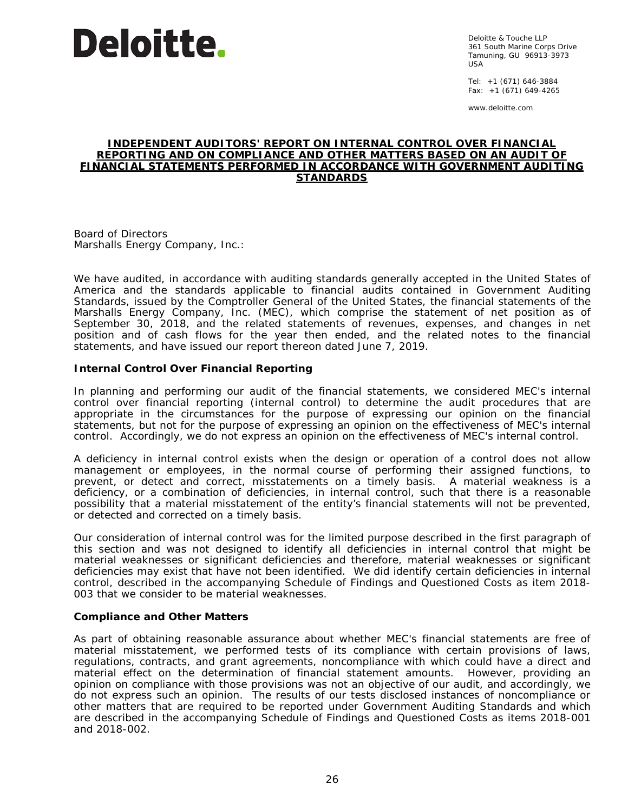

Deloitte & Touche LLP 361 South Marine Corps Drive Tamuning, GU 96913-3973 USA

Tel: +1 (671) 646-3884 Fax:  $+1$  (671) 649-4265

www.deloitte.com

#### **INDEPENDENT AUDITORS' REPORT ON INTERNAL CONTROL OVER FINANCIAL REPORTING AND ON COMPLIANCE AND OTHER MATTERS BASED ON AN AUDIT OF FINANCIAL STATEMENTS PERFORMED IN ACCORDANCE WITH** *GOVERNMENT AUDITING STANDARDS*

Board of Directors Marshalls Energy Company, Inc.:

We have audited, in accordance with auditing standards generally accepted in the United States of America and the standards applicable to financial audits contained in *Government Auditing Standards,* issued by the Comptroller General of the United States, the financial statements of the Marshalls Energy Company, Inc. (MEC), which comprise the statement of net position as of September 30, 2018, and the related statements of revenues, expenses, and changes in net position and of cash flows for the year then ended, and the related notes to the financial statements, and have issued our report thereon dated June 7, 2019.

#### **Internal Control Over Financial Reporting**

In planning and performing our audit of the financial statements, we considered MEC's internal control over financial reporting (internal control) to determine the audit procedures that are appropriate in the circumstances for the purpose of expressing our opinion on the financial statements, but not for the purpose of expressing an opinion on the effectiveness of MEC's internal control. Accordingly, we do not express an opinion on the effectiveness of MEC's internal control.

A *deficiency in internal control* exists when the design or operation of a control does not allow management or employees, in the normal course of performing their assigned functions, to prevent, or detect and correct, misstatements on a timely basis. A *material weakness* is a deficiency, or a combination of deficiencies, in internal control, such that there is a reasonable possibility that a material misstatement of the entity's financial statements will not be prevented, or detected and corrected on a timely basis.

Our consideration of internal control was for the limited purpose described in the first paragraph of this section and was not designed to identify all deficiencies in internal control that might be material weaknesses or significant deficiencies and therefore, material weaknesses or significant deficiencies may exist that have not been identified. We did identify certain deficiencies in internal control, described in the accompanying Schedule of Findings and Questioned Costs as item 2018- 003 that we consider to be material weaknesses.

#### **Compliance and Other Matters**

As part of obtaining reasonable assurance about whether MEC's financial statements are free of material misstatement, we performed tests of its compliance with certain provisions of laws, regulations, contracts, and grant agreements, noncompliance with which could have a direct and material effect on the determination of financial statement amounts. However, providing an opinion on compliance with those provisions was not an objective of our audit, and accordingly, we do not express such an opinion. The results of our tests disclosed instances of noncompliance or other matters that are required to be reported under *Government Auditing Standards* and which are described in the accompanying Schedule of Findings and Questioned Costs as items 2018-001 and 2018-002.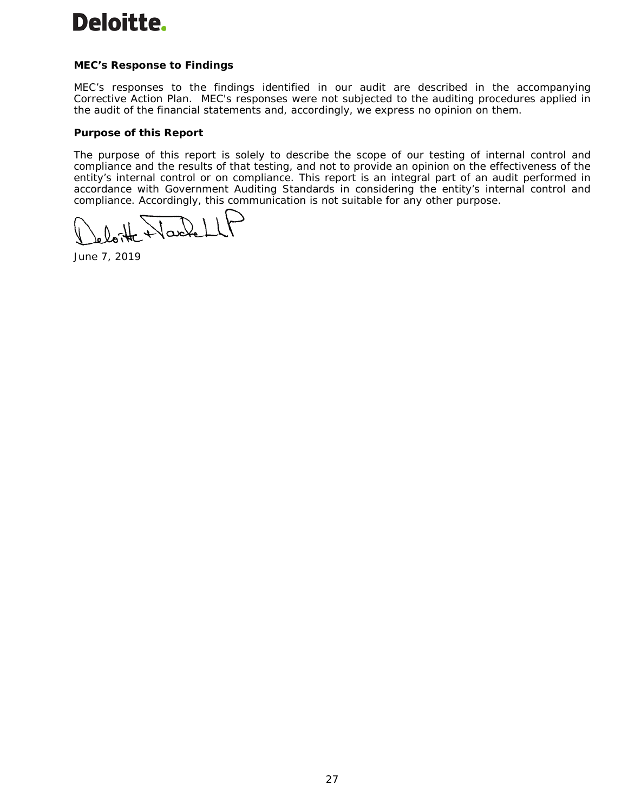# **Deloitte.**

# **MEC's Response to Findings**

MEC's responses to the findings identified in our audit are described in the accompanying Corrective Action Plan. MEC's responses were not subjected to the auditing procedures applied in the audit of the financial statements and, accordingly, we express no opinion on them.

# **Purpose of this Report**

The purpose of this report is solely to describe the scope of our testing of internal control and compliance and the results of that testing, and not to provide an opinion on the effectiveness of the entity's internal control or on compliance. This report is an integral part of an audit performed in accordance with *Government Auditing Standards* in considering the entity's internal control and compliance. Accordingly, this communication is not suitable for any other purpose.

Jack

June 7, 2019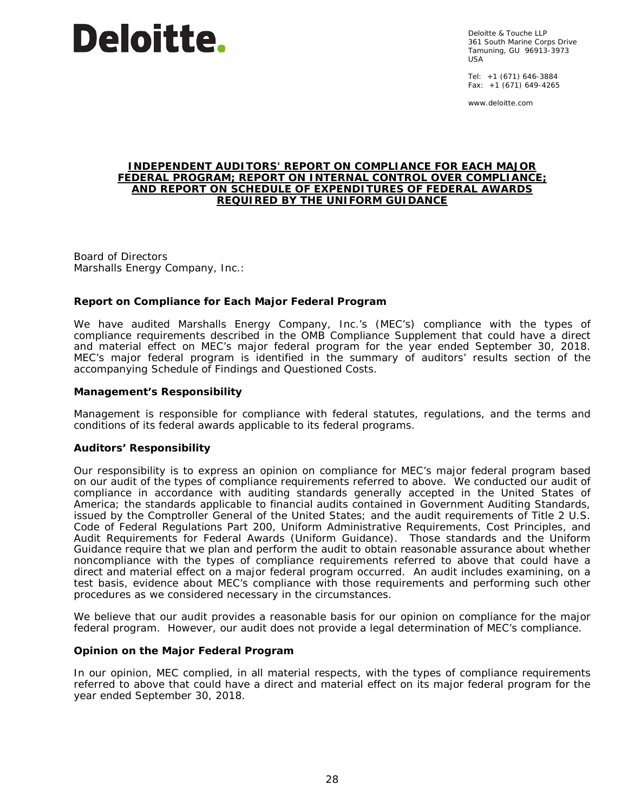

Deloitte & Touche LLP 361 South Marine Corps Drive Tamuning, GU 96913-3973 USA

Tel: +1 (671) 646-3884 Fax: +1 (671) 649-4265

www.deloitte.com

#### **INDEPENDENT AUDITORS' REPORT ON COMPLIANCE FOR EACH MAJOR FEDERAL PROGRAM; REPORT ON INTERNAL CONTROL OVER COMPLIANCE; AND REPORT ON SCHEDULE OF EXPENDITURES OF FEDERAL AWARDS REQUIRED BY THE UNIFORM GUIDANCE**

Board of Directors Marshalls Energy Company, Inc.:

#### **Report on Compliance for Each Major Federal Program**

We have audited Marshalls Energy Company, Inc.'s (MEC's) compliance with the types of compliance requirements described in the *OMB Compliance Supplement* that could have a direct and material effect on MEC's major federal program for the year ended September 30, 2018. MEC's major federal program is identified in the summary of auditors' results section of the accompanying Schedule of Findings and Questioned Costs.

#### *Management's Responsibility*

Management is responsible for compliance with federal statutes, regulations, and the terms and conditions of its federal awards applicable to its federal programs.

#### *Auditors' Responsibility*

Our responsibility is to express an opinion on compliance for MEC's major federal program based on our audit of the types of compliance requirements referred to above. We conducted our audit of compliance in accordance with auditing standards generally accepted in the United States of America; the standards applicable to financial audits contained in *Government Auditing Standards*, issued by the Comptroller General of the United States; and the audit requirements of Title 2 U.S. *Code of Federal Regulations* Part 200, *Uniform Administrative Requirements, Cost Principles, and Audit Requirements for Federal Awards* (Uniform Guidance). Those standards and the Uniform Guidance require that we plan and perform the audit to obtain reasonable assurance about whether noncompliance with the types of compliance requirements referred to above that could have a direct and material effect on a major federal program occurred. An audit includes examining, on a test basis, evidence about MEC's compliance with those requirements and performing such other procedures as we considered necessary in the circumstances.

We believe that our audit provides a reasonable basis for our opinion on compliance for the major federal program. However, our audit does not provide a legal determination of MEC's compliance.

#### *Opinion on the Major Federal Program*

In our opinion, MEC complied, in all material respects, with the types of compliance requirements referred to above that could have a direct and material effect on its major federal program for the year ended September 30, 2018.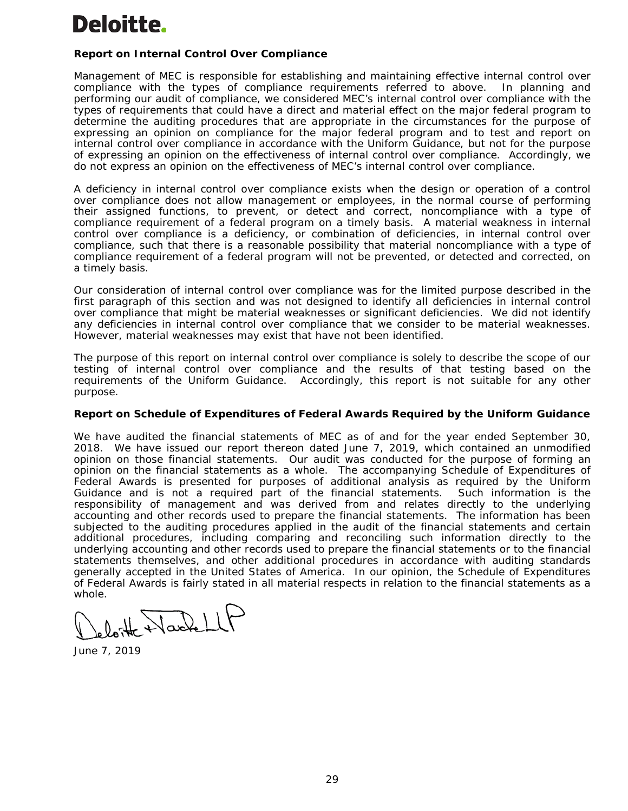# Deloitte.

# **Report on Internal Control Over Compliance**

Management of MEC is responsible for establishing and maintaining effective internal control over compliance with the types of compliance requirements referred to above. In planning and performing our audit of compliance, we considered MEC's internal control over compliance with the types of requirements that could have a direct and material effect on the major federal program to determine the auditing procedures that are appropriate in the circumstances for the purpose of expressing an opinion on compliance for the major federal program and to test and report on internal control over compliance in accordance with the Uniform Guidance, but not for the purpose of expressing an opinion on the effectiveness of internal control over compliance. Accordingly, we do not express an opinion on the effectiveness of MEC's internal control over compliance.

A *deficiency in internal control over compliance* exists when the design or operation of a control over compliance does not allow management or employees, in the normal course of performing their assigned functions, to prevent, or detect and correct, noncompliance with a type of compliance requirement of a federal program on a timely basis. A *material weakness in internal control over compliance* is a deficiency, or combination of deficiencies, in internal control over compliance, such that there is a reasonable possibility that material noncompliance with a type of compliance requirement of a federal program will not be prevented, or detected and corrected, on a timely basis.

Our consideration of internal control over compliance was for the limited purpose described in the first paragraph of this section and was not designed to identify all deficiencies in internal control over compliance that might be material weaknesses or significant deficiencies. We did not identify any deficiencies in internal control over compliance that we consider to be material weaknesses. However, material weaknesses may exist that have not been identified.

The purpose of this report on internal control over compliance is solely to describe the scope of our testing of internal control over compliance and the results of that testing based on the requirements of the Uniform Guidance. Accordingly, this report is not suitable for any other purpose.

#### **Report on Schedule of Expenditures of Federal Awards Required by the Uniform Guidance**

We have audited the financial statements of MEC as of and for the year ended September 30, 2018. We have issued our report thereon dated June 7, 2019, which contained an unmodified opinion on those financial statements. Our audit was conducted for the purpose of forming an opinion on the financial statements as a whole. The accompanying Schedule of Expenditures of Federal Awards is presented for purposes of additional analysis as required by the Uniform Guidance and is not a required part of the financial statements. Such information is the responsibility of management and was derived from and relates directly to the underlying accounting and other records used to prepare the financial statements. The information has been subjected to the auditing procedures applied in the audit of the financial statements and certain additional procedures, including comparing and reconciling such information directly to the underlying accounting and other records used to prepare the financial statements or to the financial statements themselves, and other additional procedures in accordance with auditing standards generally accepted in the United States of America. In our opinion, the Schedule of Expenditures of Federal Awards is fairly stated in all material respects in relation to the financial statements as a whole.

Wackellt

June 7, 2019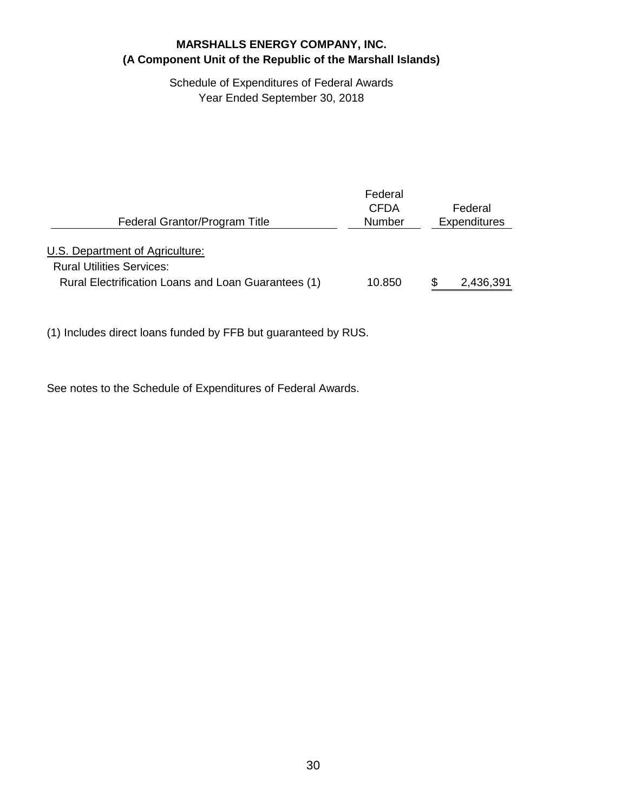# Schedule of Expenditures of Federal Awards Year Ended September 30, 2018

| Federal Grantor/Program Title                       | Federal<br><b>CFDA</b><br>Number | Federal<br><b>Expenditures</b> |
|-----------------------------------------------------|----------------------------------|--------------------------------|
| U.S. Department of Agriculture:                     |                                  |                                |
| <b>Rural Utilities Services:</b>                    |                                  |                                |
| Rural Electrification Loans and Loan Guarantees (1) | 10.850                           | 2,436,391                      |

(1) Includes direct loans funded by FFB but guaranteed by RUS.

See notes to the Schedule of Expenditures of Federal Awards.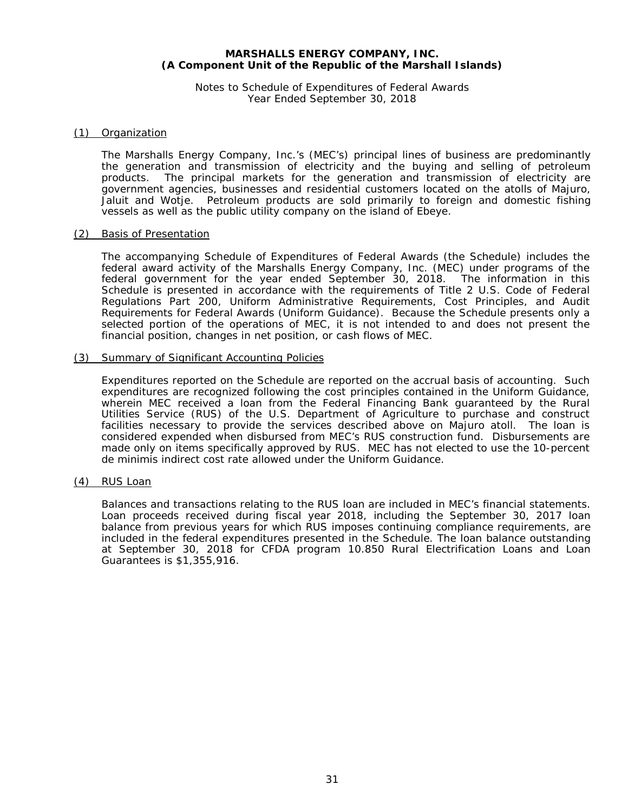Notes to Schedule of Expenditures of Federal Awards Year Ended September 30, 2018

#### (1) Organization

The Marshalls Energy Company, Inc.'s (MEC's) principal lines of business are predominantly the generation and transmission of electricity and the buying and selling of petroleum products. The principal markets for the generation and transmission of electricity are government agencies, businesses and residential customers located on the atolls of Majuro, Jaluit and Wotje. Petroleum products are sold primarily to foreign and domestic fishing vessels as well as the public utility company on the island of Ebeye.

#### (2) Basis of Presentation

The accompanying Schedule of Expenditures of Federal Awards (the Schedule) includes the federal award activity of the Marshalls Energy Company, Inc. (MEC) under programs of the federal government for the year ended September 30, 2018. The information in this Schedule is presented in accordance with the requirements of Title 2 *U.S. Code of Federal Regulations* Part 200, *Uniform Administrative Requirements, Cost Principles, and Audit Requirements for Federal Awards* (Uniform Guidance). Because the Schedule presents only a selected portion of the operations of MEC, it is not intended to and does not present the financial position, changes in net position, or cash flows of MEC.

#### (3) Summary of Significant Accounting Policies

Expenditures reported on the Schedule are reported on the accrual basis of accounting. Such expenditures are recognized following the cost principles contained in the Uniform Guidance, wherein MEC received a loan from the Federal Financing Bank guaranteed by the Rural Utilities Service (RUS) of the U.S. Department of Agriculture to purchase and construct facilities necessary to provide the services described above on Majuro atoll. The loan is considered expended when disbursed from MEC's RUS construction fund. Disbursements are made only on items specifically approved by RUS. MEC has not elected to use the 10-percent de minimis indirect cost rate allowed under the Uniform Guidance.

#### (4) RUS Loan

Balances and transactions relating to the RUS loan are included in MEC's financial statements. Loan proceeds received during fiscal year 2018, including the September 30, 2017 loan balance from previous years for which RUS imposes continuing compliance requirements, are included in the federal expenditures presented in the Schedule. The loan balance outstanding at September 30, 2018 for CFDA program 10.850 Rural Electrification Loans and Loan Guarantees is \$1,355,916.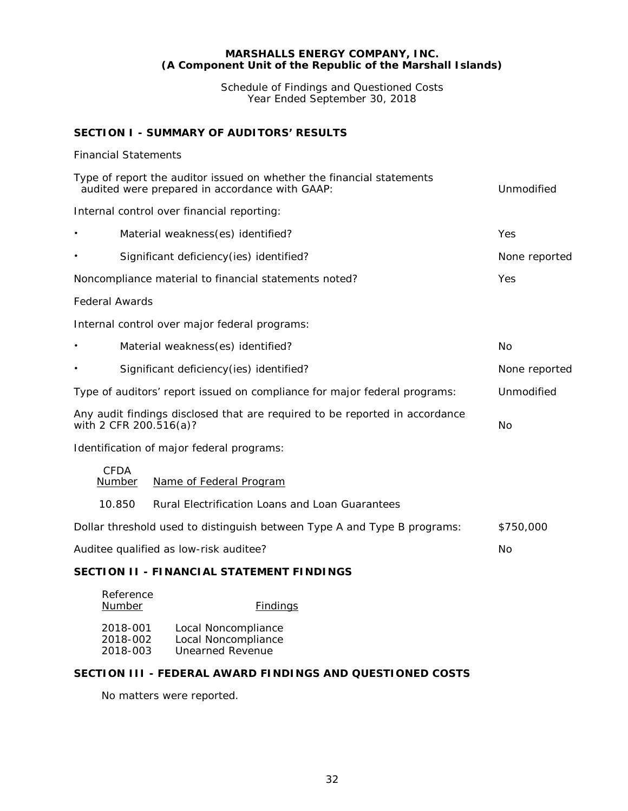Schedule of Findings and Questioned Costs Year Ended September 30, 2018

# **SECTION I - SUMMARY OF AUDITORS' RESULTS**

#### *Financial Statements*

| Type of report the auditor issued on whether the financial statements<br>audited were prepared in accordance with GAAP:<br>Unmodified |                                                                                         |                                                 |               |  |  |  |  |  |  |
|---------------------------------------------------------------------------------------------------------------------------------------|-----------------------------------------------------------------------------------------|-------------------------------------------------|---------------|--|--|--|--|--|--|
|                                                                                                                                       | Internal control over financial reporting:                                              |                                                 |               |  |  |  |  |  |  |
|                                                                                                                                       | Yes                                                                                     |                                                 |               |  |  |  |  |  |  |
|                                                                                                                                       | Significant deficiency(ies) identified?                                                 |                                                 | None reported |  |  |  |  |  |  |
|                                                                                                                                       | Noncompliance material to financial statements noted?                                   |                                                 | Yes           |  |  |  |  |  |  |
| <b>Federal Awards</b>                                                                                                                 |                                                                                         |                                                 |               |  |  |  |  |  |  |
|                                                                                                                                       | Internal control over major federal programs:                                           |                                                 |               |  |  |  |  |  |  |
|                                                                                                                                       | Material weakness(es) identified?                                                       |                                                 | No            |  |  |  |  |  |  |
|                                                                                                                                       | Significant deficiency(ies) identified?                                                 |                                                 | None reported |  |  |  |  |  |  |
|                                                                                                                                       | Unmodified<br>Type of auditors' report issued on compliance for major federal programs: |                                                 |               |  |  |  |  |  |  |
| Any audit findings disclosed that are required to be reported in accordance<br>with 2 CFR 200.516(a)?<br>No                           |                                                                                         |                                                 |               |  |  |  |  |  |  |
|                                                                                                                                       | Identification of major federal programs:                                               |                                                 |               |  |  |  |  |  |  |
|                                                                                                                                       | CEDA<br>Number<br>Name of Federal Program                                               |                                                 |               |  |  |  |  |  |  |
|                                                                                                                                       | 10.850                                                                                  | Rural Electrification Loans and Loan Guarantees |               |  |  |  |  |  |  |
|                                                                                                                                       | Dollar threshold used to distinguish between Type A and Type B programs:<br>\$750,000   |                                                 |               |  |  |  |  |  |  |
| Auditee qualified as low-risk auditee?<br>No                                                                                          |                                                                                         |                                                 |               |  |  |  |  |  |  |
| SECTION II - FINANCIAL STATEMENT FINDINGS                                                                                             |                                                                                         |                                                 |               |  |  |  |  |  |  |
|                                                                                                                                       | Reference<br>Number                                                                     | <b>Findings</b>                                 |               |  |  |  |  |  |  |

| 2018-001 | Local Noncompliance |
|----------|---------------------|
| 2018-002 | Local Noncompliance |
| 2018-003 | Unearned Revenue    |

### **SECTION III - FEDERAL AWARD FINDINGS AND QUESTIONED COSTS**

No matters were reported.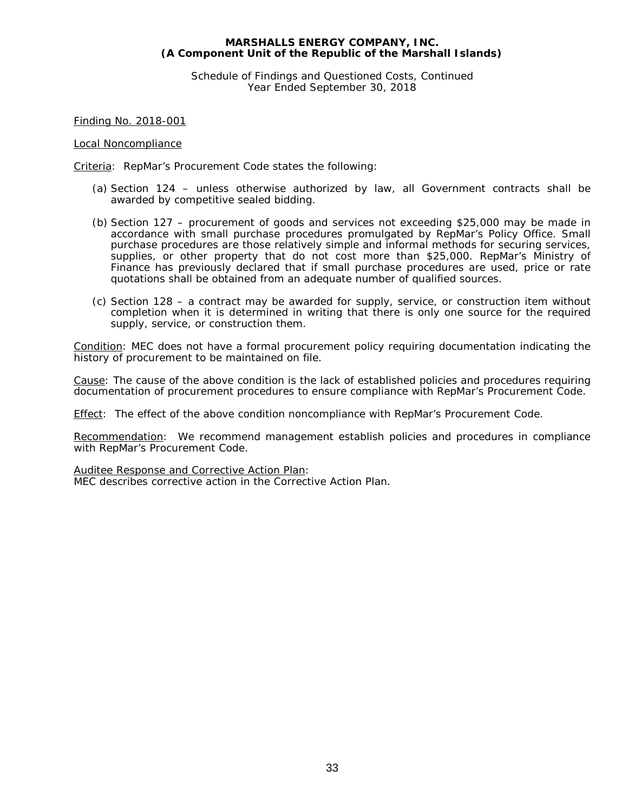Schedule of Findings and Questioned Costs, Continued Year Ended September 30, 2018

Finding No. 2018-001

#### Local Noncompliance

Criteria: RepMar's Procurement Code states the following:

- (a) Section 124 unless otherwise authorized by law, all Government contracts shall be awarded by competitive sealed bidding.
- (b) Section 127 procurement of goods and services not exceeding \$25,000 may be made in accordance with small purchase procedures promulgated by RepMar's Policy Office. Small purchase procedures are those relatively simple and informal methods for securing services, supplies, or other property that do not cost more than \$25,000. RepMar's Ministry of Finance has previously declared that if small purchase procedures are used, price or rate quotations shall be obtained from an adequate number of qualified sources.
- (c) Section 128 a contract may be awarded for supply, service, or construction item without completion when it is determined in writing that there is only one source for the required supply, service, or construction them.

Condition: MEC does not have a formal procurement policy requiring documentation indicating the history of procurement to be maintained on file.

Cause: The cause of the above condition is the lack of established policies and procedures requiring documentation of procurement procedures to ensure compliance with RepMar's Procurement Code.

Effect: The effect of the above condition noncompliance with RepMar's Procurement Code.

Recommendation: We recommend management establish policies and procedures in compliance with RepMar's Procurement Code.

Auditee Response and Corrective Action Plan:

MEC describes corrective action in the Corrective Action Plan.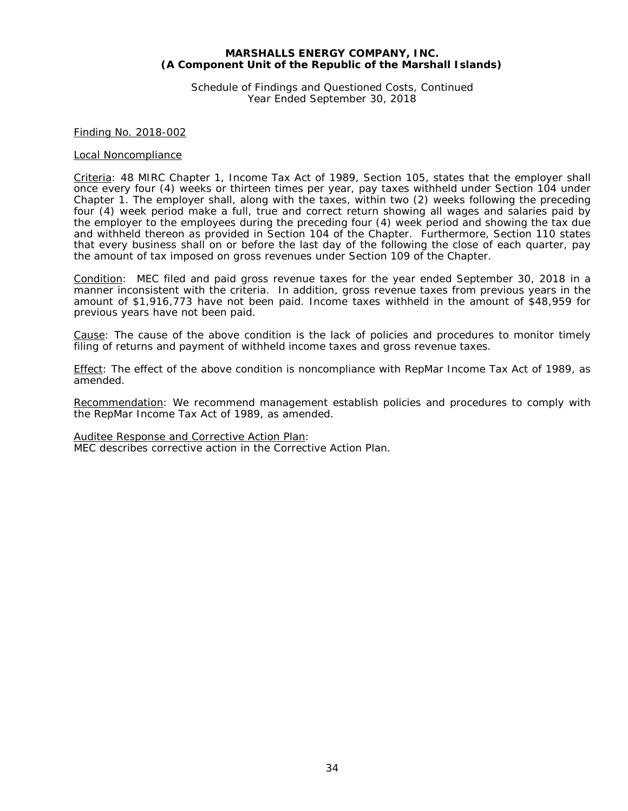Schedule of Findings and Questioned Costs, Continued Year Ended September 30, 2018

#### Finding No. 2018-002

#### Local Noncompliance

Criteria: 48 MIRC Chapter 1, Income Tax Act of 1989, Section 105, states that the employer shall once every four (4) weeks or thirteen times per year, pay taxes withheld under Section 104 under Chapter 1. The employer shall, along with the taxes, within two (2) weeks following the preceding four (4) week period make a full, true and correct return showing all wages and salaries paid by the employer to the employees during the preceding four (4) week period and showing the tax due and withheld thereon as provided in Section 104 of the Chapter. Furthermore, Section 110 states that every business shall on or before the last day of the following the close of each quarter, pay the amount of tax imposed on gross revenues under Section 109 of the Chapter.

Condition: MEC filed and paid gross revenue taxes for the year ended September 30, 2018 in a manner inconsistent with the criteria. In addition, gross revenue taxes from previous years in the amount of \$1,916,773 have not been paid. Income taxes withheld in the amount of \$48,959 for previous years have not been paid.

Cause: The cause of the above condition is the lack of policies and procedures to monitor timely filing of returns and payment of withheld income taxes and gross revenue taxes.

Effect: The effect of the above condition is noncompliance with RepMar Income Tax Act of 1989, as amended.

Recommendation: We recommend management establish policies and procedures to comply with the RepMar Income Tax Act of 1989, as amended.

Auditee Response and Corrective Action Plan:

MEC describes corrective action in the Corrective Action Plan.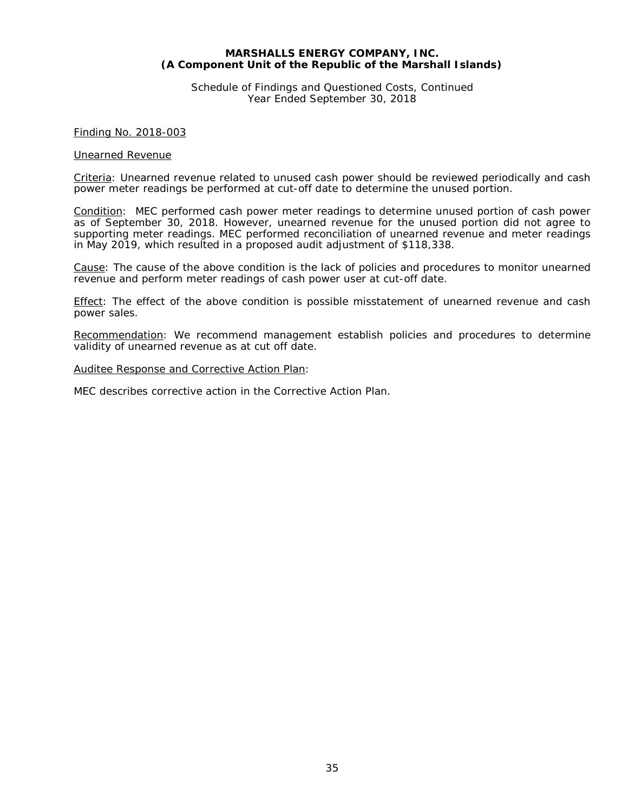Schedule of Findings and Questioned Costs, Continued Year Ended September 30, 2018

Finding No. 2018-003

#### Unearned Revenue

Criteria: Unearned revenue related to unused cash power should be reviewed periodically and cash power meter readings be performed at cut-off date to determine the unused portion.

Condition: MEC performed cash power meter readings to determine unused portion of cash power as of September 30, 2018. However, unearned revenue for the unused portion did not agree to supporting meter readings. MEC performed reconciliation of unearned revenue and meter readings in May 2019, which resulted in a proposed audit adjustment of \$118,338.

Cause: The cause of the above condition is the lack of policies and procedures to monitor unearned revenue and perform meter readings of cash power user at cut-off date.

Effect: The effect of the above condition is possible misstatement of unearned revenue and cash power sales.

Recommendation: We recommend management establish policies and procedures to determine validity of unearned revenue as at cut off date.

#### Auditee Response and Corrective Action Plan:

MEC describes corrective action in the Corrective Action Plan.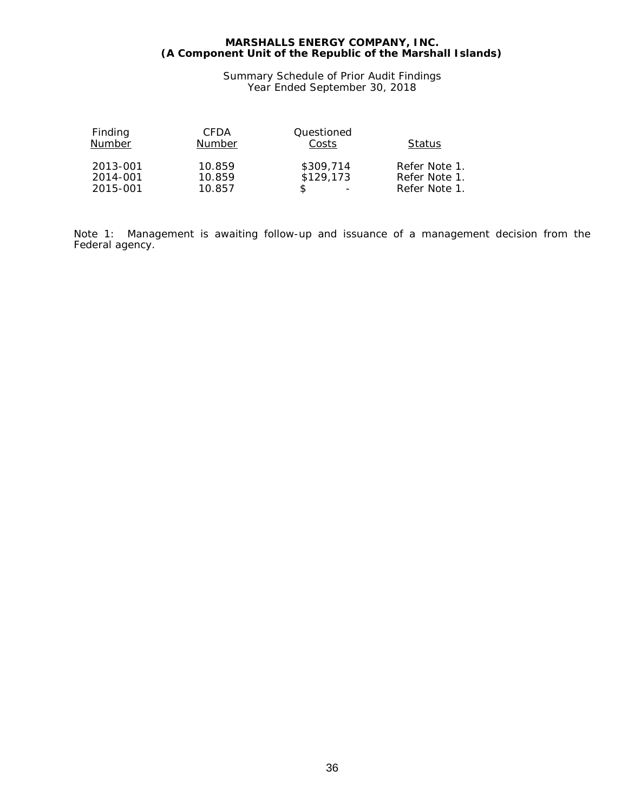Summary Schedule of Prior Audit Findings Year Ended September 30, 2018

| Finding  | CFDA   | Questioned |               |
|----------|--------|------------|---------------|
| Number   | Number | Costs      | <b>Status</b> |
| 2013-001 | 10.859 | \$309.714  | Refer Note 1. |
| 2014-001 | 10.859 | \$129,173  | Refer Note 1. |
| 2015-001 | 10.857 | -          | Refer Note 1. |

Note 1: Management is awaiting follow-up and issuance of a management decision from the Federal agency.